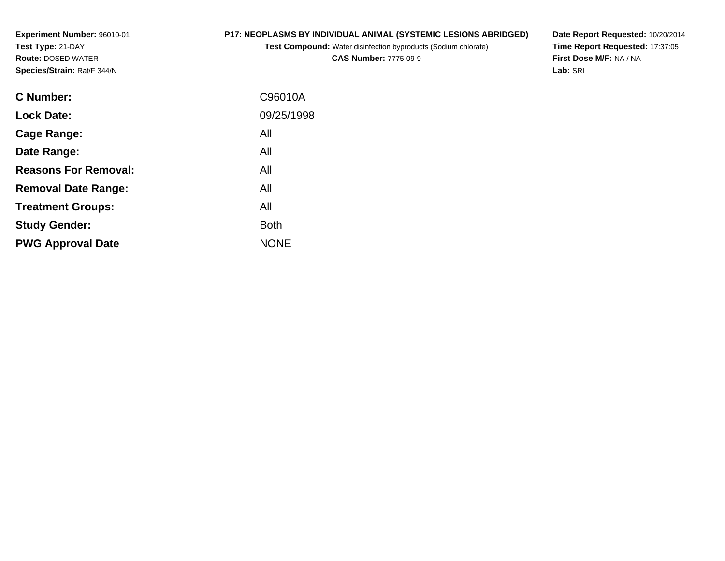**Experiment Number:** 96010-01**Test Type:** 21-DAY **Route:** DOSED WATER**Species/Strain:** Rat/F 344/N

## **P17: NEOPLASMS BY INDIVIDUAL ANIMAL (SYSTEMIC LESIONS ABRIDGED)**

**Test Compound:** Water disinfection byproducts (Sodium chlorate)**CAS Number:** 7775-09-9

**Date Report Requested:** 10/20/2014 **Time Report Requested:** 17:37:05**First Dose M/F:** NA / NA**Lab:** SRI

| C Number:                   | C96010A     |
|-----------------------------|-------------|
| <b>Lock Date:</b>           | 09/25/1998  |
| Cage Range:                 | All         |
| Date Range:                 | All         |
| <b>Reasons For Removal:</b> | All         |
| <b>Removal Date Range:</b>  | All         |
| <b>Treatment Groups:</b>    | All         |
| <b>Study Gender:</b>        | <b>Both</b> |
| <b>PWG Approval Date</b>    | <b>NONE</b> |
|                             |             |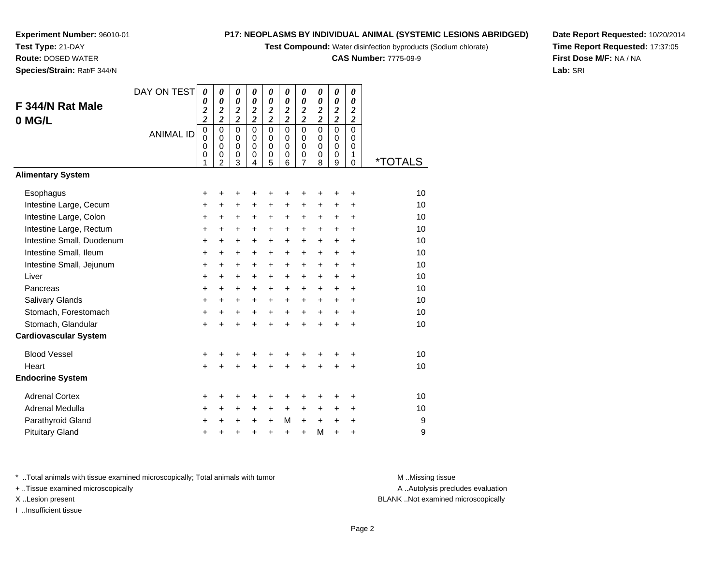**Test Compound:** Water disinfection byproducts (Sodium chlorate)

**CAS Number:** 7775-09-9

**Date Report Requested:** 10/20/2014**Time Report Requested:** 17:37:05**First Dose M/F:** NA / NA**Lab:** SRI

## **Experiment Number:** 96010-01**Test Type:** 21-DAY **Route:** DOSED WATER**Species/Strain:** Rat/F 344/N

| F 344/N Rat Male<br>0 MG/L   | DAY ON TEST<br><b>ANIMAL ID</b> | 0<br>$\boldsymbol{\theta}$<br>$\overline{\mathbf{c}}$<br>$\overline{c}$<br>$\mathbf 0$<br>$\mathbf 0$<br>$\mathbf 0$<br>0<br>1 | 0<br>$\boldsymbol{\theta}$<br>$\boldsymbol{2}$<br>$\overline{\mathbf{c}}$<br>$\mathbf 0$<br>$\mathbf 0$<br>$\mathbf 0$<br>0<br>$\overline{2}$ | 0<br>$\pmb{\theta}$<br>$\frac{2}{2}$<br>$\mathbf 0$<br>$\mathbf 0$<br>$\mathbf 0$<br>0<br>3 | $\boldsymbol{\theta}$<br>$\boldsymbol{\theta}$<br>$\frac{2}{2}$<br>$\mathbf 0$<br>$\mathbf 0$<br>$\mathbf 0$<br>0<br>4 | $\boldsymbol{\theta}$<br>$\boldsymbol{\theta}$<br>$\frac{2}{2}$<br>$\mathbf 0$<br>$\mathbf 0$<br>$\mathbf 0$<br>$\pmb{0}$<br>5 | 0<br>$\boldsymbol{\theta}$<br>$\frac{2}{2}$<br>$\mathbf 0$<br>$\mathbf 0$<br>$\Omega$<br>0<br>6 | 0<br>$\boldsymbol{\theta}$<br>$\frac{2}{2}$<br>$\mathbf 0$<br>$\mathbf 0$<br>$\mathbf 0$<br>0<br>$\overline{7}$ | 0<br>$\boldsymbol{\theta}$<br>$\frac{2}{2}$<br>$\mathbf 0$<br>$\Omega$<br>$\Omega$<br>0<br>8 | 0<br>$\boldsymbol{\theta}$<br>$\frac{2}{2}$<br>$\overline{0}$<br>$\mathbf 0$<br>$\mathbf 0$<br>0<br>$\boldsymbol{9}$ | 0<br>0<br>$\boldsymbol{2}$<br>$\overline{\mathbf{c}}$<br>$\overline{0}$<br>$\mathbf 0$<br>$\mathbf 0$<br>1<br>$\mathbf 0$ | <i><b>*TOTALS</b></i> |
|------------------------------|---------------------------------|--------------------------------------------------------------------------------------------------------------------------------|-----------------------------------------------------------------------------------------------------------------------------------------------|---------------------------------------------------------------------------------------------|------------------------------------------------------------------------------------------------------------------------|--------------------------------------------------------------------------------------------------------------------------------|-------------------------------------------------------------------------------------------------|-----------------------------------------------------------------------------------------------------------------|----------------------------------------------------------------------------------------------|----------------------------------------------------------------------------------------------------------------------|---------------------------------------------------------------------------------------------------------------------------|-----------------------|
| <b>Alimentary System</b>     |                                 |                                                                                                                                |                                                                                                                                               |                                                                                             |                                                                                                                        |                                                                                                                                |                                                                                                 |                                                                                                                 |                                                                                              |                                                                                                                      |                                                                                                                           |                       |
| Esophagus                    |                                 | +                                                                                                                              | $\ddot{}$                                                                                                                                     | +                                                                                           | +                                                                                                                      | +                                                                                                                              | +                                                                                               | +                                                                                                               | +                                                                                            | +                                                                                                                    | +                                                                                                                         | 10                    |
| Intestine Large, Cecum       |                                 | +                                                                                                                              | +                                                                                                                                             | $\ddot{}$                                                                                   | $\ddot{}$                                                                                                              | $\ddot{}$                                                                                                                      | +                                                                                               | +                                                                                                               | +                                                                                            | +                                                                                                                    | $\ddot{}$                                                                                                                 | 10                    |
| Intestine Large, Colon       |                                 | $\ddot{}$                                                                                                                      | +                                                                                                                                             | $\ddot{}$                                                                                   | $\ddot{}$                                                                                                              | $\ddot{}$                                                                                                                      | $\ddot{}$                                                                                       | $\ddot{}$                                                                                                       | +                                                                                            | $\ddot{}$                                                                                                            | $\ddot{}$                                                                                                                 | 10                    |
| Intestine Large, Rectum      |                                 | $\ddot{}$                                                                                                                      | $\ddot{}$                                                                                                                                     | +                                                                                           | $\ddot{}$                                                                                                              | +                                                                                                                              | $\ddot{}$                                                                                       | $\ddot{}$                                                                                                       | +                                                                                            | $\ddot{}$                                                                                                            | $\ddot{}$                                                                                                                 | 10                    |
| Intestine Small, Duodenum    |                                 | $\ddot{}$                                                                                                                      | $+$                                                                                                                                           | $\ddot{}$                                                                                   | $\ddot{}$                                                                                                              | $\ddot{}$                                                                                                                      | $+$                                                                                             | $\ddot{}$                                                                                                       | $\ddot{}$                                                                                    | $\ddot{}$                                                                                                            | $\ddot{}$                                                                                                                 | 10                    |
| Intestine Small, Ileum       |                                 | +                                                                                                                              | $\ddot{}$                                                                                                                                     | $\ddot{}$                                                                                   | +                                                                                                                      | +                                                                                                                              | $\ddot{}$                                                                                       | $\ddot{}$                                                                                                       | $\ddot{}$                                                                                    | $\ddot{}$                                                                                                            | $\ddot{}$                                                                                                                 | 10                    |
| Intestine Small, Jejunum     |                                 | +                                                                                                                              | $\pm$                                                                                                                                         | +                                                                                           | +                                                                                                                      | +                                                                                                                              | $\ddot{}$                                                                                       | +                                                                                                               | +                                                                                            | $\ddot{}$                                                                                                            | +                                                                                                                         | 10                    |
| Liver                        |                                 | $\ddot{}$                                                                                                                      | $\ddot{}$                                                                                                                                     | $\ddot{}$                                                                                   | $\ddot{}$                                                                                                              | $\ddot{}$                                                                                                                      | $\ddot{}$                                                                                       | $\ddot{}$                                                                                                       | $\ddot{}$                                                                                    | $\ddot{}$                                                                                                            | $\ddot{}$                                                                                                                 | 10                    |
| Pancreas                     |                                 | +                                                                                                                              | $\ddot{}$                                                                                                                                     | $\ddot{}$                                                                                   | +                                                                                                                      | $\ddot{}$                                                                                                                      | $\ddot{}$                                                                                       | $\ddot{}$                                                                                                       | +                                                                                            | +                                                                                                                    | +                                                                                                                         | 10                    |
| Salivary Glands              |                                 | +                                                                                                                              | +                                                                                                                                             | $\ddot{}$                                                                                   | $\ddot{}$                                                                                                              | $\ddot{}$                                                                                                                      | $\ddot{}$                                                                                       | $\ddot{}$                                                                                                       | $\ddot{}$                                                                                    | $\ddot{}$                                                                                                            | $\ddot{}$                                                                                                                 | 10                    |
| Stomach, Forestomach         |                                 | $\ddot{}$                                                                                                                      | +                                                                                                                                             | +                                                                                           | +                                                                                                                      | +                                                                                                                              | +                                                                                               | $\ddot{}$                                                                                                       | $\ddot{}$                                                                                    | $\ddot{}$                                                                                                            | $\ddot{}$                                                                                                                 | 10                    |
| Stomach, Glandular           |                                 | $\ddot{}$                                                                                                                      |                                                                                                                                               | $\ddot{}$                                                                                   | $\ddot{}$                                                                                                              | $\ddot{}$                                                                                                                      |                                                                                                 | ÷                                                                                                               | $\ddot{}$                                                                                    | $\ddot{}$                                                                                                            | $\ddot{}$                                                                                                                 | 10                    |
| <b>Cardiovascular System</b> |                                 |                                                                                                                                |                                                                                                                                               |                                                                                             |                                                                                                                        |                                                                                                                                |                                                                                                 |                                                                                                                 |                                                                                              |                                                                                                                      |                                                                                                                           |                       |
| <b>Blood Vessel</b>          |                                 | +                                                                                                                              | +                                                                                                                                             | +                                                                                           | +                                                                                                                      | +                                                                                                                              | +                                                                                               | +                                                                                                               | +                                                                                            | ٠                                                                                                                    | +                                                                                                                         | 10                    |
| Heart                        |                                 | $\ddot{}$                                                                                                                      |                                                                                                                                               | +                                                                                           |                                                                                                                        |                                                                                                                                |                                                                                                 |                                                                                                                 |                                                                                              | $\ddot{}$                                                                                                            | $\ddot{}$                                                                                                                 | 10                    |
| <b>Endocrine System</b>      |                                 |                                                                                                                                |                                                                                                                                               |                                                                                             |                                                                                                                        |                                                                                                                                |                                                                                                 |                                                                                                                 |                                                                                              |                                                                                                                      |                                                                                                                           |                       |
| <b>Adrenal Cortex</b>        |                                 | +                                                                                                                              | +                                                                                                                                             | +                                                                                           | +                                                                                                                      | +                                                                                                                              | +                                                                                               | +                                                                                                               | +                                                                                            | +                                                                                                                    | +                                                                                                                         | 10                    |
| Adrenal Medulla              |                                 | +                                                                                                                              | +                                                                                                                                             | +                                                                                           | +                                                                                                                      | +                                                                                                                              | +                                                                                               | +                                                                                                               | +                                                                                            | +                                                                                                                    | $\ddot{}$                                                                                                                 | 10                    |
| Parathyroid Gland            |                                 | +                                                                                                                              | $\pm$                                                                                                                                         | +                                                                                           | +                                                                                                                      | $\ddot{}$                                                                                                                      | M                                                                                               | $\ddot{}$                                                                                                       | $\ddot{}$                                                                                    | +                                                                                                                    | +                                                                                                                         | 9                     |
| <b>Pituitary Gland</b>       |                                 | ٠                                                                                                                              |                                                                                                                                               |                                                                                             | +                                                                                                                      | $\ddot{}$                                                                                                                      | +                                                                                               | $\ddot{}$                                                                                                       | M                                                                                            | +                                                                                                                    | +                                                                                                                         | 9                     |

\* ..Total animals with tissue examined microscopically; Total animals with tumor **M** . Missing tissue M ..Missing tissue

+ ..Tissue examined microscopically

I ..Insufficient tissue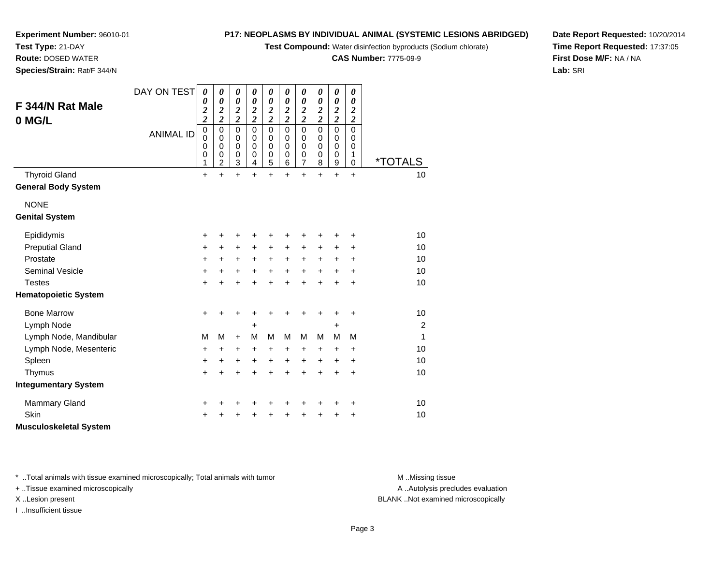**Test Compound:** Water disinfection byproducts (Sodium chlorate)

**CAS Number:** 7775-09-9

**Date Report Requested:** 10/20/2014**Time Report Requested:** 17:37:05**First Dose M/F:** NA / NA**Lab:** SRI

**Experiment Number:** 96010-01**Test Type:** 21-DAY **Route:** DOSED WATER**Species/Strain:** Rat/F 344/N

| F 344/N Rat Male<br>0 MG/L                         | DAY ON TEST<br><b>ANIMAL ID</b> | 0<br>0<br>$\overline{\mathbf{c}}$<br>$\overline{\mathbf{c}}$<br>$\pmb{0}$<br>$\mathbf 0$<br>0<br>0<br>1 | 0<br>0<br>$\boldsymbol{2}$<br>$\overline{2}$<br>$\mathbf 0$<br>0<br>0<br>0<br>$\overline{c}$ | 0<br>$\boldsymbol{\theta}$<br>$\boldsymbol{2}$<br>$\overline{c}$<br>$\mathbf 0$<br>$\pmb{0}$<br>0<br>$\pmb{0}$<br>3 | $\boldsymbol{\theta}$<br>0<br>$\boldsymbol{2}$<br>$\overline{2}$<br>$\mathbf 0$<br>0<br>0<br>$\mathbf 0$<br>4 | 0<br>0<br>$\boldsymbol{2}$<br>$\overline{c}$<br>$\mathbf 0$<br>0<br>0<br>$\boldsymbol{0}$<br>5 | 0<br>$\boldsymbol{\theta}$<br>$\boldsymbol{2}$<br>$\overline{\mathbf{c}}$<br>$\mathbf 0$<br>$\mathbf 0$<br>0<br>$\mathbf 0$<br>6 | 0<br>$\boldsymbol{\theta}$<br>$\boldsymbol{2}$<br>$\overline{\mathbf{c}}$<br>$\mathbf 0$<br>0<br>0<br>$\,0\,$<br>$\overline{7}$ | 0<br>$\boldsymbol{\theta}$<br>$\boldsymbol{2}$<br>$\overline{\mathbf{c}}$<br>$\Omega$<br>$\Omega$<br>0<br>$\mathbf 0$<br>8 | $\boldsymbol{\theta}$<br>$\boldsymbol{\theta}$<br>$\boldsymbol{2}$<br>$\overline{\mathbf{c}}$<br>$\mathbf 0$<br>$\pmb{0}$<br>$\mathbf 0$<br>$\pmb{0}$<br>$\boldsymbol{9}$ | 0<br>0<br>2<br>$\boldsymbol{2}$<br>$\mathbf 0$<br>0<br>0<br>1<br>0 | <i><b>*TOTALS</b></i> |
|----------------------------------------------------|---------------------------------|---------------------------------------------------------------------------------------------------------|----------------------------------------------------------------------------------------------|---------------------------------------------------------------------------------------------------------------------|---------------------------------------------------------------------------------------------------------------|------------------------------------------------------------------------------------------------|----------------------------------------------------------------------------------------------------------------------------------|---------------------------------------------------------------------------------------------------------------------------------|----------------------------------------------------------------------------------------------------------------------------|---------------------------------------------------------------------------------------------------------------------------------------------------------------------------|--------------------------------------------------------------------|-----------------------|
| <b>Thyroid Gland</b><br><b>General Body System</b> |                                 | $\ddot{}$                                                                                               | $\ddot{}$                                                                                    | $\ddot{}$                                                                                                           | $\ddot{}$                                                                                                     | $\ddot{}$                                                                                      | $\ddot{}$                                                                                                                        | $\ddot{}$                                                                                                                       | $\ddot{}$                                                                                                                  | $+$                                                                                                                                                                       | $\ddot{}$                                                          | 10                    |
| <b>NONE</b><br><b>Genital System</b>               |                                 |                                                                                                         |                                                                                              |                                                                                                                     |                                                                                                               |                                                                                                |                                                                                                                                  |                                                                                                                                 |                                                                                                                            |                                                                                                                                                                           |                                                                    |                       |
| Epididymis                                         |                                 | +                                                                                                       | +                                                                                            | +                                                                                                                   | +                                                                                                             | +                                                                                              | +                                                                                                                                | +                                                                                                                               | +                                                                                                                          | +                                                                                                                                                                         | +                                                                  | 10                    |
| <b>Preputial Gland</b>                             |                                 | +                                                                                                       | $\ddot{}$                                                                                    | $\ddot{}$                                                                                                           | $\ddot{}$                                                                                                     | +                                                                                              | $\ddot{}$                                                                                                                        | $\ddot{}$                                                                                                                       | $\pm$                                                                                                                      | +                                                                                                                                                                         | +                                                                  | 10                    |
| Prostate                                           |                                 | +                                                                                                       | +                                                                                            | +                                                                                                                   | +                                                                                                             | $\ddot{}$                                                                                      | +                                                                                                                                | $\ddot{}$                                                                                                                       | $\ddot{}$                                                                                                                  | $\ddot{}$                                                                                                                                                                 | $\ddot{}$                                                          | 10                    |
| <b>Seminal Vesicle</b>                             |                                 | +                                                                                                       | +                                                                                            | +                                                                                                                   | $\ddot{}$                                                                                                     | $\ddot{}$                                                                                      | $\ddot{}$                                                                                                                        | $+$                                                                                                                             | $\ddot{}$                                                                                                                  | $\ddot{}$                                                                                                                                                                 | $\ddot{}$                                                          | 10                    |
| <b>Testes</b>                                      |                                 | $\ddot{}$                                                                                               | +                                                                                            | $\ddot{}$                                                                                                           | ÷                                                                                                             | $\ddot{}$                                                                                      | $\ddot{}$                                                                                                                        | $\ddot{}$                                                                                                                       | $\ddot{}$                                                                                                                  | $\ddot{}$                                                                                                                                                                 | $\ddot{}$                                                          | 10                    |
| <b>Hematopoietic System</b>                        |                                 |                                                                                                         |                                                                                              |                                                                                                                     |                                                                                                               |                                                                                                |                                                                                                                                  |                                                                                                                                 |                                                                                                                            |                                                                                                                                                                           |                                                                    |                       |
| <b>Bone Marrow</b>                                 |                                 | $\ddot{}$                                                                                               | +                                                                                            | +                                                                                                                   | +                                                                                                             | +                                                                                              | +                                                                                                                                | +                                                                                                                               | +                                                                                                                          | +                                                                                                                                                                         | +                                                                  | 10                    |
| Lymph Node                                         |                                 |                                                                                                         |                                                                                              |                                                                                                                     | +                                                                                                             |                                                                                                |                                                                                                                                  |                                                                                                                                 |                                                                                                                            | +                                                                                                                                                                         |                                                                    | 2                     |
| Lymph Node, Mandibular                             |                                 | M                                                                                                       | M                                                                                            | $\ddot{}$                                                                                                           | M                                                                                                             | M                                                                                              | М                                                                                                                                | M                                                                                                                               | м                                                                                                                          | M                                                                                                                                                                         | M                                                                  | $\mathbf{1}$          |
| Lymph Node, Mesenteric                             |                                 | +                                                                                                       | +                                                                                            | $\ddot{}$                                                                                                           | $\ddot{}$                                                                                                     | $\ddot{}$                                                                                      | +                                                                                                                                | +                                                                                                                               | +                                                                                                                          | $\ddot{}$                                                                                                                                                                 | +                                                                  | 10                    |
| Spleen                                             |                                 | +                                                                                                       | +                                                                                            | +                                                                                                                   | $\ddot{}$                                                                                                     | $\ddot{}$                                                                                      | +                                                                                                                                | $\ddot{}$                                                                                                                       | +                                                                                                                          | +                                                                                                                                                                         | +                                                                  | 10                    |
| Thymus                                             |                                 | $\ddot{}$                                                                                               | +                                                                                            | +                                                                                                                   |                                                                                                               | $\ddot{}$                                                                                      |                                                                                                                                  | $\ddot{}$                                                                                                                       | $\ddot{}$                                                                                                                  | $\ddot{}$                                                                                                                                                                 | $\ddot{}$                                                          | 10                    |
| <b>Integumentary System</b>                        |                                 |                                                                                                         |                                                                                              |                                                                                                                     |                                                                                                               |                                                                                                |                                                                                                                                  |                                                                                                                                 |                                                                                                                            |                                                                                                                                                                           |                                                                    |                       |
| Mammary Gland                                      |                                 | +                                                                                                       | +                                                                                            | +                                                                                                                   |                                                                                                               |                                                                                                |                                                                                                                                  | +                                                                                                                               | +                                                                                                                          | +                                                                                                                                                                         | +                                                                  | 10                    |
| Skin                                               |                                 | +                                                                                                       |                                                                                              | +                                                                                                                   |                                                                                                               |                                                                                                |                                                                                                                                  | +                                                                                                                               | +                                                                                                                          | +                                                                                                                                                                         | ٠                                                                  | 10                    |
| <b>Musculoskeletal System</b>                      |                                 |                                                                                                         |                                                                                              |                                                                                                                     |                                                                                                               |                                                                                                |                                                                                                                                  |                                                                                                                                 |                                                                                                                            |                                                                                                                                                                           |                                                                    |                       |

\* ..Total animals with tissue examined microscopically; Total animals with tumor **M** . Missing tissue M ..Missing tissue

+ ..Tissue examined microscopically

I ..Insufficient tissue

A ..Autolysis precludes evaluation

X ..Lesion present BLANK ..Not examined microscopically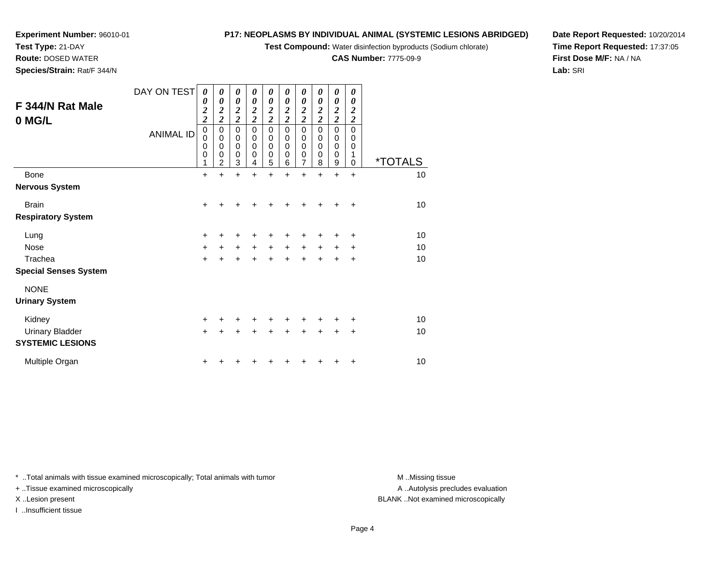**Test Compound:** Water disinfection byproducts (Sodium chlorate)

**CAS Number:** 7775-09-9

**Date Report Requested:** 10/20/2014**Time Report Requested:** 17:37:05**First Dose M/F:** NA / NA**Lab:** SRI

| Species/Strain: Rat/F 344/N  |                  |                                                     |                                    |                                        |                                                       |                                     |                                                   |                                     |                                                     |                                                |                                     |                       |
|------------------------------|------------------|-----------------------------------------------------|------------------------------------|----------------------------------------|-------------------------------------------------------|-------------------------------------|---------------------------------------------------|-------------------------------------|-----------------------------------------------------|------------------------------------------------|-------------------------------------|-----------------------|
| F 344/N Rat Male<br>0 MG/L   | DAY ON TEST      | 0<br>0<br>$\overline{\mathbf{c}}$<br>$\overline{2}$ | 0<br>0<br>$\frac{2}{2}$            | 0<br>0<br>2<br>$\overline{\mathbf{c}}$ | 0<br>0<br>$\boldsymbol{2}$<br>$\overline{\mathbf{c}}$ | 0<br>0<br>2<br>$\boldsymbol{2}$     | 0<br>$\boldsymbol{\theta}$<br>2<br>$\overline{c}$ | 0<br>0<br>2<br>$\boldsymbol{2}$     | 0<br>0<br>$\overline{\mathbf{2}}$<br>$\overline{c}$ | 0<br>0<br>$\boldsymbol{2}$<br>$\boldsymbol{2}$ | 0<br>0<br>2<br>$\boldsymbol{2}$     |                       |
|                              | <b>ANIMAL ID</b> | 0<br>0<br>0<br>0                                    | 0<br>0<br>0<br>0<br>$\mathfrak{p}$ | $\Omega$<br>$\Omega$<br>0<br>0<br>3    | $\Omega$<br>0<br>$\mathbf 0$<br>0<br>4                | $\Omega$<br>0<br>$\Omega$<br>0<br>5 | $\Omega$<br>0<br>$\mathbf 0$<br>$\mathbf 0$<br>6  | $\Omega$<br>0<br>$\Omega$<br>0<br>7 | $\Omega$<br>0<br>0<br>0<br>8                        | $\Omega$<br>0<br>$\Omega$<br>0<br>9            | $\Omega$<br>0<br>0<br>1<br>$\Omega$ | <i><b>*TOTALS</b></i> |
| <b>Bone</b>                  |                  | $+$                                                 | +                                  | +                                      | +                                                     | +                                   | $\ddot{}$                                         | $\ddot{}$                           | $\ddot{}$                                           | $\ddot{}$                                      | $\ddot{}$                           | 10                    |
| <b>Nervous System</b>        |                  |                                                     |                                    |                                        |                                                       |                                     |                                                   |                                     |                                                     |                                                |                                     |                       |
| <b>Brain</b>                 |                  | $\pm$                                               | +                                  |                                        |                                                       |                                     |                                                   | ÷                                   | $\div$                                              | $\div$                                         | $\ddot{}$                           | 10                    |
| <b>Respiratory System</b>    |                  |                                                     |                                    |                                        |                                                       |                                     |                                                   |                                     |                                                     |                                                |                                     |                       |
| Lung                         |                  | ÷                                                   | ٠                                  | +                                      | ٠                                                     | +                                   | ÷                                                 |                                     |                                                     | ÷                                              | ÷                                   | 10                    |
| Nose                         |                  | $+$                                                 | $+$                                | $\pm$                                  | $\ddot{}$                                             | $\ddot{}$                           | $\ddot{}$                                         | $\ddot{}$                           | $\pm$                                               | $\ddot{}$                                      | $\ddot{}$                           | 10                    |
| Trachea                      |                  | $\pm$                                               | +                                  | +                                      | +                                                     | $\ddot{}$                           | $\ddot{}$                                         | $\pm$                               | $\pm$                                               | $\ddot{}$                                      | $\ddot{}$                           | 10                    |
| <b>Special Senses System</b> |                  |                                                     |                                    |                                        |                                                       |                                     |                                                   |                                     |                                                     |                                                |                                     |                       |
| <b>NONE</b>                  |                  |                                                     |                                    |                                        |                                                       |                                     |                                                   |                                     |                                                     |                                                |                                     |                       |
| <b>Urinary System</b>        |                  |                                                     |                                    |                                        |                                                       |                                     |                                                   |                                     |                                                     |                                                |                                     |                       |

| Kidney                  |  | + + + + + + + + + + |  |  |  |  | 10 |
|-------------------------|--|---------------------|--|--|--|--|----|
| Urinary Bladder         |  | + + + + + + + + + + |  |  |  |  | 10 |
| <b>SYSTEMIC LESIONS</b> |  |                     |  |  |  |  |    |
| Multiple Organ          |  | + + + + + + + + + + |  |  |  |  | 10 |

\* ..Total animals with tissue examined microscopically; Total animals with tumor **M** . Missing tissue M ..Missing tissue

+ ..Tissue examined microscopically

**Experiment Number:** 96010-01

**Test Type:** 21-DAY**Route:** DOSED WATER

I ..Insufficient tissue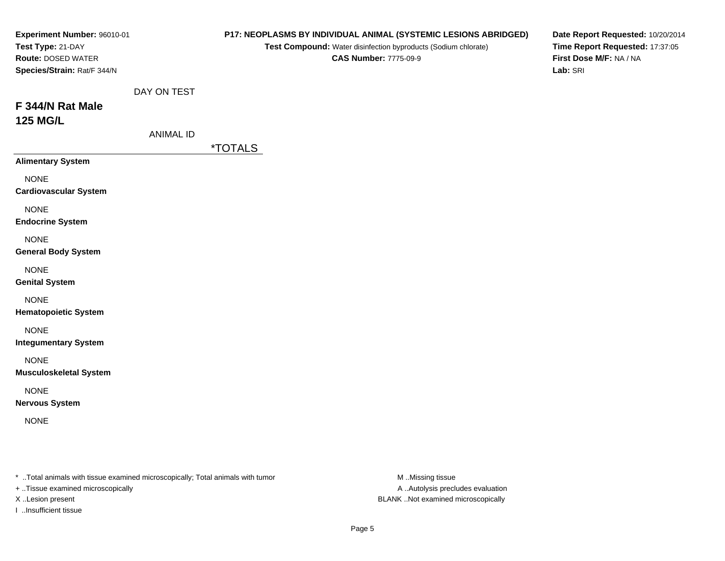| Experiment Number: 96010-01<br>Test Type: 21-DAY<br>Route: DOSED WATER<br>Species/Strain: Rat/F 344/N |                                 | P17: NEOPLASMS BY INDIVIDUAL ANIMAL (SYSTEMIC LESIONS ABRIDGED)<br>Test Compound: Water disinfection byproducts (Sodium chlorate)<br><b>CAS Number: 7775-09-9</b> | Date Report Requested: 10/20/2014<br>Time Report Requested: 17:37:05<br>First Dose M/F: NA / NA<br>Lab: SRI |
|-------------------------------------------------------------------------------------------------------|---------------------------------|-------------------------------------------------------------------------------------------------------------------------------------------------------------------|-------------------------------------------------------------------------------------------------------------|
| F 344/N Rat Male<br><b>125 MG/L</b>                                                                   | DAY ON TEST<br><b>ANIMAL ID</b> | <i><b>*TOTALS</b></i>                                                                                                                                             |                                                                                                             |
| <b>Alimentary System</b>                                                                              |                                 |                                                                                                                                                                   |                                                                                                             |
| <b>NONE</b><br><b>Cardiovascular System</b>                                                           |                                 |                                                                                                                                                                   |                                                                                                             |
| <b>NONE</b><br><b>Endocrine System</b>                                                                |                                 |                                                                                                                                                                   |                                                                                                             |
| <b>NONE</b><br><b>General Body System</b>                                                             |                                 |                                                                                                                                                                   |                                                                                                             |
| <b>NONE</b><br><b>Genital System</b>                                                                  |                                 |                                                                                                                                                                   |                                                                                                             |
| <b>NONE</b><br><b>Hematopoietic System</b>                                                            |                                 |                                                                                                                                                                   |                                                                                                             |
| <b>NONE</b><br><b>Integumentary System</b>                                                            |                                 |                                                                                                                                                                   |                                                                                                             |
| <b>NONE</b><br><b>Musculoskeletal System</b>                                                          |                                 |                                                                                                                                                                   |                                                                                                             |
| <b>NONE</b><br><b>Nervous System</b>                                                                  |                                 |                                                                                                                                                                   |                                                                                                             |
| <b>NONE</b>                                                                                           |                                 |                                                                                                                                                                   |                                                                                                             |
|                                                                                                       |                                 |                                                                                                                                                                   |                                                                                                             |

\* ..Total animals with tissue examined microscopically; Total animals with tumor M..Missing tissue M

+ ..Tissue examined microscopically

I ..Insufficient tissue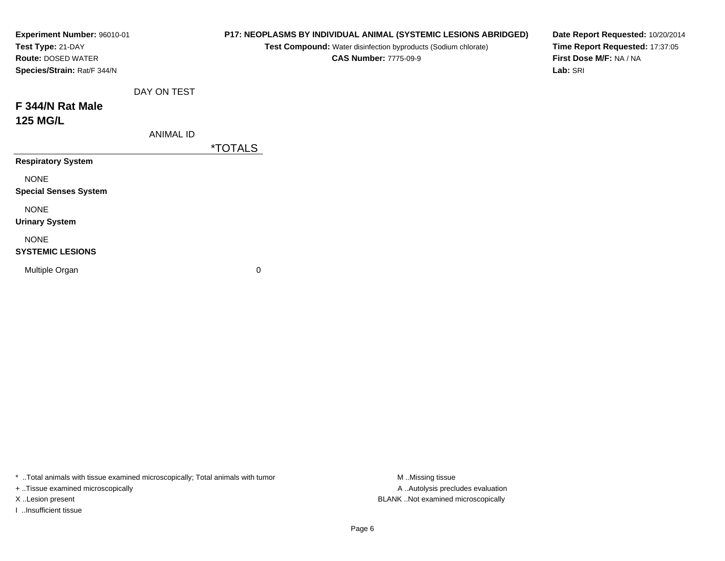| Experiment Number: 96010-01<br>Test Type: 21-DAY<br><b>Route: DOSED WATER</b><br>Species/Strain: Rat/F 344/N |                  | P17: NEOPLASMS BY INDIVIDUAL ANIMAL (SYSTEMIC LESIONS ABRIDGED)<br>Test Compound: Water disinfection byproducts (Sodium chlorate)<br><b>CAS Number: 7775-09-9</b> | Date Report Requested: 10/20/2014<br>Time Report Requested: 17:37:05<br>First Dose M/F: NA / NA<br>Lab: SRI |
|--------------------------------------------------------------------------------------------------------------|------------------|-------------------------------------------------------------------------------------------------------------------------------------------------------------------|-------------------------------------------------------------------------------------------------------------|
|                                                                                                              | DAY ON TEST      |                                                                                                                                                                   |                                                                                                             |
| F 344/N Rat Male                                                                                             |                  |                                                                                                                                                                   |                                                                                                             |
| <b>125 MG/L</b>                                                                                              |                  |                                                                                                                                                                   |                                                                                                             |
|                                                                                                              | <b>ANIMAL ID</b> |                                                                                                                                                                   |                                                                                                             |
|                                                                                                              |                  | <i><b>*TOTALS</b></i>                                                                                                                                             |                                                                                                             |
| <b>Respiratory System</b>                                                                                    |                  |                                                                                                                                                                   |                                                                                                             |
| <b>NONE</b><br><b>Special Senses System</b>                                                                  |                  |                                                                                                                                                                   |                                                                                                             |
| <b>NONE</b><br><b>Urinary System</b>                                                                         |                  |                                                                                                                                                                   |                                                                                                             |
| <b>NONE</b><br><b>SYSTEMIC LESIONS</b>                                                                       |                  |                                                                                                                                                                   |                                                                                                             |
| Multiple Organ                                                                                               |                  | 0                                                                                                                                                                 |                                                                                                             |

\* ..Total animals with tissue examined microscopically; Total animals with tumor M..Missing tissue M ..Missing tissue

+ ..Tissue examined microscopically

I ..Insufficient tissue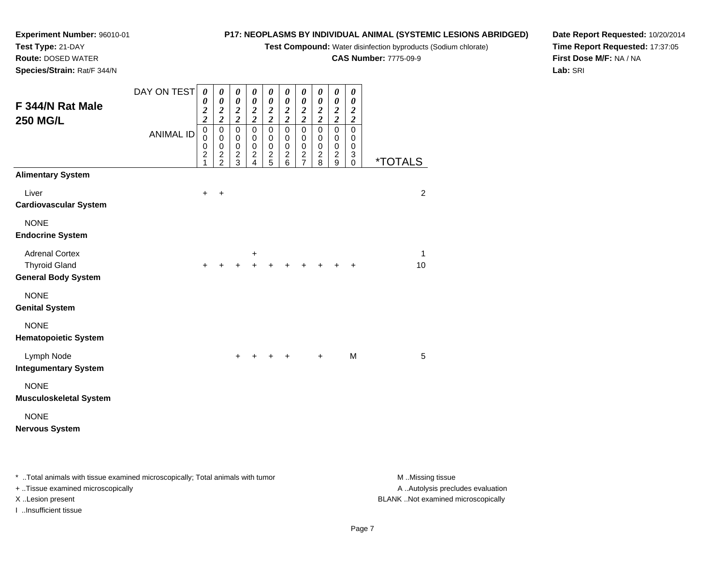**Test Compound:** Water disinfection byproducts (Sodium chlorate)

**CAS Number:** 7775-09-9

**Date Report Requested:** 10/20/2014**Time Report Requested:** 17:37:05**First Dose M/F:** NA / NA**Lab:** SRI

**Experiment Number:** 96010-01**Test Type:** 21-DAY **Route:** DOSED WATER**Species/Strain:** Rat/F 344/N

| F 344/N Rat Male<br><b>250 MG/L</b>                                         | DAY ON TEST<br><b>ANIMAL ID</b> | $\boldsymbol{\theta}$<br>0<br>$\boldsymbol{2}$<br>$\overline{c}$<br>$\pmb{0}$<br>$\mathbf 0$<br>$\pmb{0}$<br>$\overline{2}$<br>1 | 0<br>0<br>$\boldsymbol{2}$<br>$\overline{c}$<br>$\mathbf 0$<br>$\mathbf 0$<br>$\mathbf 0$<br>$\frac{2}{2}$ | 0<br>$\boldsymbol{\theta}$<br>$\frac{2}{2}$<br>$\mathbf 0$<br>$\pmb{0}$<br>$\mathbf 0$<br>$\frac{2}{3}$ | 0<br>$\boldsymbol{\theta}$<br>$\boldsymbol{2}$<br>$\overline{2}$<br>0<br>$\mathbf 0$<br>0<br>$\overline{\mathbf{c}}$<br>$\overline{4}$ | 0<br>$\boldsymbol{\theta}$<br>$\boldsymbol{2}$<br>$\overline{2}$<br>$\pmb{0}$<br>0<br>0<br>$\frac{2}{5}$ | 0<br>$\boldsymbol{\theta}$<br>$\frac{2}{2}$<br>$\pmb{0}$<br>0<br>$\,0\,$<br>$\overline{\mathbf{c}}$<br>6 | 0<br>$\boldsymbol{\theta}$<br>$\frac{2}{2}$<br>$\mathbf 0$<br>$\mathbf 0$<br>$\pmb{0}$<br>$rac{2}{7}$ | 0<br>$\boldsymbol{\theta}$<br>$\boldsymbol{2}$<br>$\overline{2}$<br>$\pmb{0}$<br>$\mathbf 0$<br>$\,0\,$<br>$\boldsymbol{2}$<br>8 | 0<br>$\boldsymbol{\theta}$<br>$\frac{2}{2}$<br>$\pmb{0}$<br>$\mathbf 0$<br>$\pmb{0}$<br>$\overline{c}$<br>9 | 0<br>0<br>$\overline{2}$<br>$\overline{2}$<br>$\mathbf 0$<br>0<br>0<br>3<br>0 | <i><b>*TOTALS</b></i> |
|-----------------------------------------------------------------------------|---------------------------------|----------------------------------------------------------------------------------------------------------------------------------|------------------------------------------------------------------------------------------------------------|---------------------------------------------------------------------------------------------------------|----------------------------------------------------------------------------------------------------------------------------------------|----------------------------------------------------------------------------------------------------------|----------------------------------------------------------------------------------------------------------|-------------------------------------------------------------------------------------------------------|----------------------------------------------------------------------------------------------------------------------------------|-------------------------------------------------------------------------------------------------------------|-------------------------------------------------------------------------------|-----------------------|
| <b>Alimentary System</b>                                                    |                                 |                                                                                                                                  |                                                                                                            |                                                                                                         |                                                                                                                                        |                                                                                                          |                                                                                                          |                                                                                                       |                                                                                                                                  |                                                                                                             |                                                                               |                       |
| Liver<br><b>Cardiovascular System</b>                                       |                                 | $\ddot{}$                                                                                                                        | $\ddot{}$                                                                                                  |                                                                                                         |                                                                                                                                        |                                                                                                          |                                                                                                          |                                                                                                       |                                                                                                                                  |                                                                                                             |                                                                               | $\overline{c}$        |
| <b>NONE</b><br><b>Endocrine System</b>                                      |                                 |                                                                                                                                  |                                                                                                            |                                                                                                         |                                                                                                                                        |                                                                                                          |                                                                                                          |                                                                                                       |                                                                                                                                  |                                                                                                             |                                                                               |                       |
| <b>Adrenal Cortex</b><br><b>Thyroid Gland</b><br><b>General Body System</b> |                                 | $\ddot{}$                                                                                                                        |                                                                                                            |                                                                                                         | +                                                                                                                                      |                                                                                                          |                                                                                                          |                                                                                                       |                                                                                                                                  |                                                                                                             |                                                                               | 1<br>10               |
| <b>NONE</b><br><b>Genital System</b>                                        |                                 |                                                                                                                                  |                                                                                                            |                                                                                                         |                                                                                                                                        |                                                                                                          |                                                                                                          |                                                                                                       |                                                                                                                                  |                                                                                                             |                                                                               |                       |
| <b>NONE</b><br><b>Hematopoietic System</b>                                  |                                 |                                                                                                                                  |                                                                                                            |                                                                                                         |                                                                                                                                        |                                                                                                          |                                                                                                          |                                                                                                       |                                                                                                                                  |                                                                                                             |                                                                               |                       |
| Lymph Node<br><b>Integumentary System</b>                                   |                                 |                                                                                                                                  |                                                                                                            | $\pm$                                                                                                   |                                                                                                                                        |                                                                                                          | +                                                                                                        |                                                                                                       | $\ddot{}$                                                                                                                        |                                                                                                             | M                                                                             | 5                     |
| <b>NONE</b><br><b>Musculoskeletal System</b>                                |                                 |                                                                                                                                  |                                                                                                            |                                                                                                         |                                                                                                                                        |                                                                                                          |                                                                                                          |                                                                                                       |                                                                                                                                  |                                                                                                             |                                                                               |                       |
| <b>NONE</b><br><b>Nervous System</b>                                        |                                 |                                                                                                                                  |                                                                                                            |                                                                                                         |                                                                                                                                        |                                                                                                          |                                                                                                          |                                                                                                       |                                                                                                                                  |                                                                                                             |                                                                               |                       |

\* ..Total animals with tissue examined microscopically; Total animals with tumor **M** . Missing tissue M ..Missing tissue

+ ..Tissue examined microscopically

I ..Insufficient tissue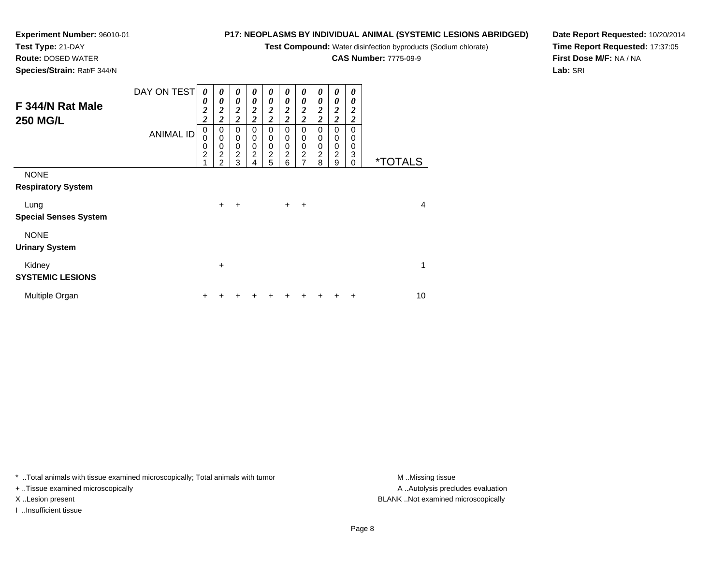**Test Compound:** Water disinfection byproducts (Sodium chlorate)

**CAS Number:** 7775-09-9

**Date Report Requested:** 10/20/2014**Time Report Requested:** 17:37:05**First Dose M/F:** NA / NA**Lab:** SRI

**Test Type:** 21-DAY **Route:** DOSED WATER**Species/Strain:** Rat/F 344/N

**Experiment Number:** 96010-01

| F 344/N Rat Male<br><b>250 MG/L</b>      | DAY ON TEST<br><b>ANIMAL ID</b> | 0<br>0<br>$\overline{\mathbf{c}}$<br>$\overline{\mathbf{c}}$<br>$\mathbf 0$<br>0<br>$\mathbf 0$<br>$\overline{\mathbf{c}}$ | 0<br>$\boldsymbol{\theta}$<br>$\boldsymbol{2}$<br>$\overline{2}$<br>0<br>$\mathbf 0$<br>$\mathbf 0$<br>$\boldsymbol{2}$<br>$\mathfrak{p}$ | 0<br>0<br>$\overline{\mathbf{c}}$<br>$\overline{2}$<br>0<br>$\pmb{0}$<br>$\mathbf 0$<br>$\frac{2}{3}$ | 0<br>0<br>2<br>$\boldsymbol{2}$<br>0<br>0<br>$\mathbf 0$<br>$\overline{c}$<br>4 | 0<br>0<br>$\boldsymbol{2}$<br>$\overline{2}$<br>0<br>0<br>$\mathbf 0$<br>$\frac{2}{5}$ | 0<br>0<br>$\boldsymbol{2}$<br>$\overline{c}$<br>0<br>0<br>0<br>$\overline{c}$<br>6 | 0<br>0<br>$\boldsymbol{2}$<br>$\overline{c}$<br>0<br>0<br>$\mathbf 0$<br>$\frac{2}{7}$ | 0<br>0<br>2<br>$\overline{2}$<br>0<br>0<br>0<br>$\overline{\mathbf{c}}$<br>8 | 0<br>0<br>$\boldsymbol{2}$<br>$\overline{\mathbf{c}}$<br>0<br>0<br>0<br>$\overline{c}$<br>9 | 0<br>0<br>2<br>2<br>0<br>0<br>0<br>3<br>$\Omega$ | <i><b>*TOTALS</b></i> |
|------------------------------------------|---------------------------------|----------------------------------------------------------------------------------------------------------------------------|-------------------------------------------------------------------------------------------------------------------------------------------|-------------------------------------------------------------------------------------------------------|---------------------------------------------------------------------------------|----------------------------------------------------------------------------------------|------------------------------------------------------------------------------------|----------------------------------------------------------------------------------------|------------------------------------------------------------------------------|---------------------------------------------------------------------------------------------|--------------------------------------------------|-----------------------|
| <b>NONE</b><br><b>Respiratory System</b> |                                 |                                                                                                                            |                                                                                                                                           |                                                                                                       |                                                                                 |                                                                                        |                                                                                    |                                                                                        |                                                                              |                                                                                             |                                                  |                       |
| Lung<br><b>Special Senses System</b>     |                                 |                                                                                                                            | $\ddot{}$                                                                                                                                 | $\ddot{}$                                                                                             |                                                                                 |                                                                                        | $+$                                                                                | $\overline{+}$                                                                         |                                                                              |                                                                                             |                                                  | $\overline{4}$        |
| <b>NONE</b><br><b>Urinary System</b>     |                                 |                                                                                                                            |                                                                                                                                           |                                                                                                       |                                                                                 |                                                                                        |                                                                                    |                                                                                        |                                                                              |                                                                                             |                                                  |                       |
| Kidney<br><b>SYSTEMIC LESIONS</b>        |                                 |                                                                                                                            | +                                                                                                                                         |                                                                                                       |                                                                                 |                                                                                        |                                                                                    |                                                                                        |                                                                              |                                                                                             |                                                  | 1                     |
| Multiple Organ                           |                                 | +                                                                                                                          |                                                                                                                                           |                                                                                                       |                                                                                 |                                                                                        |                                                                                    |                                                                                        |                                                                              | ٠                                                                                           | ٠                                                | 10                    |

\* ..Total animals with tissue examined microscopically; Total animals with tumor **M** . Missing tissue M ..Missing tissue

+ ..Tissue examined microscopically

I ..Insufficient tissue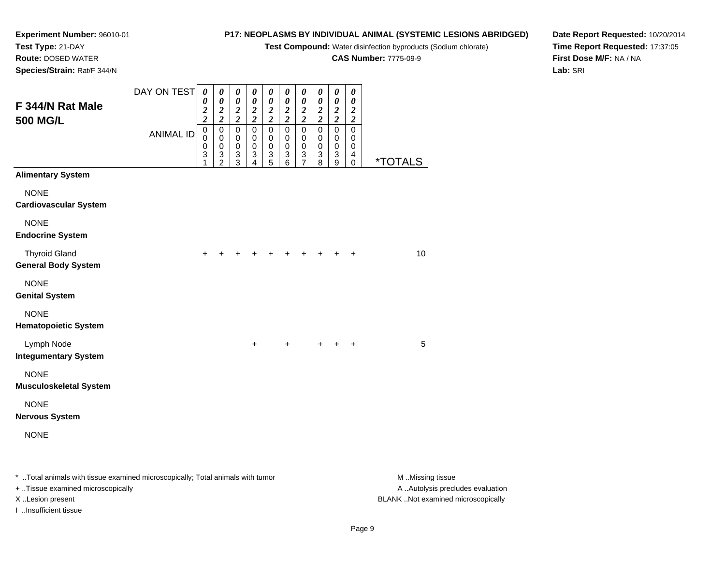**Test Compound:** Water disinfection byproducts (Sodium chlorate)

**CAS Number:** 7775-09-9

**Date Report Requested:** 10/20/2014**Time Report Requested:** 17:37:05**First Dose M/F:** NA / NA**Lab:** SRI

**Experiment Number:** 96010-01**Test Type:** 21-DAY **Route:** DOSED WATER**Species/Strain:** Rat/F 344/N

| F 344/N Rat Male                                                               | DAY ON TEST      | $\boldsymbol{\theta}$<br>$\boldsymbol{\theta}$<br>$\frac{2}{2}$ | 0<br>$\pmb{\theta}$<br>$\boldsymbol{2}$                                          | 0<br>$\pmb{\theta}$<br>$\overline{\mathbf{c}}$                                             | $\pmb{\theta}$<br>$\pmb{\theta}$<br>$\frac{2}{2}$               | $\boldsymbol{\theta}$<br>$\boldsymbol{\theta}$<br>$\frac{2}{2}$         | $\boldsymbol{\theta}$<br>$\pmb{\theta}$<br>$\frac{2}{2}$                | 0<br>$\pmb{\theta}$<br>$\boldsymbol{2}$                                                                | 0<br>$\boldsymbol{\theta}$<br>$\boldsymbol{2}$                                             | $\pmb{\theta}$<br>$\pmb{\theta}$<br>$\frac{2}{2}$             | $\pmb{\theta}$<br>$\pmb{\theta}$<br>$\boldsymbol{2}$                             |                       |
|--------------------------------------------------------------------------------|------------------|-----------------------------------------------------------------|----------------------------------------------------------------------------------|--------------------------------------------------------------------------------------------|-----------------------------------------------------------------|-------------------------------------------------------------------------|-------------------------------------------------------------------------|--------------------------------------------------------------------------------------------------------|--------------------------------------------------------------------------------------------|---------------------------------------------------------------|----------------------------------------------------------------------------------|-----------------------|
| <b>500 MG/L</b>                                                                | <b>ANIMAL ID</b> | $\pmb{0}$<br>$\mathbf 0$<br>$\pmb{0}$<br>3<br>1                 | $\overline{2}$<br>$\pmb{0}$<br>$\mathbf 0$<br>$\mathbf 0$<br>3<br>$\overline{2}$ | $\overline{\mathbf{c}}$<br>$\mathsf 0$<br>$\pmb{0}$<br>0<br>$\ensuremath{\mathsf{3}}$<br>3 | $\pmb{0}$<br>$\mathbf 0$<br>0<br>$\ensuremath{\mathsf{3}}$<br>4 | $\mathbf 0$<br>$\pmb{0}$<br>$\pmb{0}$<br>$\ensuremath{\mathsf{3}}$<br>5 | $\pmb{0}$<br>$\mathbf 0$<br>$\pmb{0}$<br>$\ensuremath{\mathsf{3}}$<br>6 | $\overline{2}$<br>$\pmb{0}$<br>$\mathbf 0$<br>$\pmb{0}$<br>$\ensuremath{\mathsf{3}}$<br>$\overline{7}$ | $\overline{\mathbf{c}}$<br>$\mathsf 0$<br>0<br>$\pmb{0}$<br>$\ensuremath{\mathsf{3}}$<br>8 | $\pmb{0}$<br>$\pmb{0}$<br>0<br>$\ensuremath{\mathsf{3}}$<br>9 | $\overline{2}$<br>$\pmb{0}$<br>$\mathbf 0$<br>0<br>$\overline{4}$<br>$\mathbf 0$ | <i><b>*TOTALS</b></i> |
| <b>Alimentary System</b>                                                       |                  |                                                                 |                                                                                  |                                                                                            |                                                                 |                                                                         |                                                                         |                                                                                                        |                                                                                            |                                                               |                                                                                  |                       |
| <b>NONE</b><br><b>Cardiovascular System</b>                                    |                  |                                                                 |                                                                                  |                                                                                            |                                                                 |                                                                         |                                                                         |                                                                                                        |                                                                                            |                                                               |                                                                                  |                       |
| <b>NONE</b><br><b>Endocrine System</b>                                         |                  |                                                                 |                                                                                  |                                                                                            |                                                                 |                                                                         |                                                                         |                                                                                                        |                                                                                            |                                                               |                                                                                  |                       |
| <b>Thyroid Gland</b><br><b>General Body System</b>                             |                  | $\ddot{}$                                                       | $\ddot{}$                                                                        |                                                                                            |                                                                 |                                                                         | +                                                                       | +                                                                                                      | $\pm$                                                                                      | $\pm$                                                         | $\ddot{}$                                                                        | 10                    |
| <b>NONE</b><br><b>Genital System</b>                                           |                  |                                                                 |                                                                                  |                                                                                            |                                                                 |                                                                         |                                                                         |                                                                                                        |                                                                                            |                                                               |                                                                                  |                       |
| <b>NONE</b><br><b>Hematopoietic System</b>                                     |                  |                                                                 |                                                                                  |                                                                                            |                                                                 |                                                                         |                                                                         |                                                                                                        |                                                                                            |                                                               |                                                                                  |                       |
| Lymph Node<br><b>Integumentary System</b>                                      |                  |                                                                 |                                                                                  |                                                                                            | $\ddot{}$                                                       |                                                                         | $\ddot{}$                                                               |                                                                                                        |                                                                                            |                                                               | $\ddot{}$                                                                        | 5                     |
| <b>NONE</b><br><b>Musculoskeletal System</b>                                   |                  |                                                                 |                                                                                  |                                                                                            |                                                                 |                                                                         |                                                                         |                                                                                                        |                                                                                            |                                                               |                                                                                  |                       |
| <b>NONE</b><br><b>Nervous System</b>                                           |                  |                                                                 |                                                                                  |                                                                                            |                                                                 |                                                                         |                                                                         |                                                                                                        |                                                                                            |                                                               |                                                                                  |                       |
| <b>NONE</b>                                                                    |                  |                                                                 |                                                                                  |                                                                                            |                                                                 |                                                                         |                                                                         |                                                                                                        |                                                                                            |                                                               |                                                                                  |                       |
| * Total animals with tissue examined microscopically; Total animals with tumor |                  |                                                                 |                                                                                  |                                                                                            |                                                                 |                                                                         |                                                                         |                                                                                                        |                                                                                            |                                                               |                                                                                  | M Missing tissue      |

+ ..Tissue examined microscopically

I ..Insufficient tissue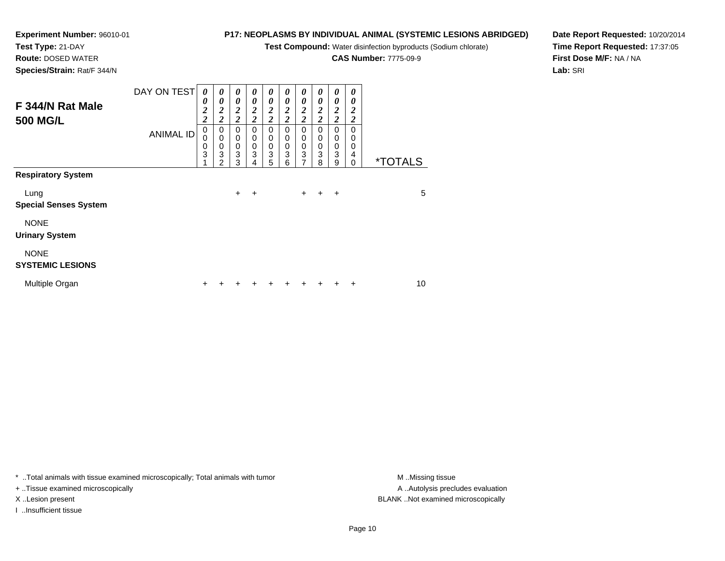**Test Compound:** Water disinfection byproducts (Sodium chlorate)

**CAS Number:** 7775-09-9

**Date Report Requested:** 10/20/2014**Time Report Requested:** 17:37:05**First Dose M/F:** NA / NA**Lab:** SRI

 **Route:** DOSED WATER **Species/Strain:** Rat/F 344/NDAY ON TEST **F 344/N Rat Male500 MG/L***0 0 20 0 20 0 20 0 2*

**Experiment Number:** 96010-01

**Test Type:** 21-DAY

|                              | <b>ANIMAL ID</b> | 0<br>0<br>0<br>3<br>$\overline{A}$ | 0<br>$\mathbf 0$<br>$\mathbf 0$<br>3<br>2 | 0<br>$\mathbf 0$<br>$\pmb{0}$<br>3<br>3 | 0<br>$\mathbf 0$<br>$\pmb{0}$<br>3<br>4 | 0<br>$\mathbf 0$<br>$\pmb{0}$<br>3<br>5 | 0<br>$\mathbf 0$<br>$\pmb{0}$<br>3<br>6 | 0<br>$\mathbf 0$<br>$\mathbf 0$<br>$\mathbf{3}$<br>7 | 0<br>0<br>$\mathbf 0$<br>3<br>8 | 0<br>$\mathbf 0$<br>$\mathbf 0$<br>$\mathbf{3}$<br>9 | 0<br>$\Omega$<br>0<br>4<br>0 | <i><b>*TOTALS</b></i> |    |
|------------------------------|------------------|------------------------------------|-------------------------------------------|-----------------------------------------|-----------------------------------------|-----------------------------------------|-----------------------------------------|------------------------------------------------------|---------------------------------|------------------------------------------------------|------------------------------|-----------------------|----|
| <b>Respiratory System</b>    |                  |                                    |                                           |                                         |                                         |                                         |                                         |                                                      |                                 |                                                      |                              |                       |    |
| Lung                         |                  |                                    |                                           | $\ddot{}$                               | ÷                                       |                                         |                                         | $\ddot{}$                                            | +                               | $\ddot{}$                                            |                              |                       | 5  |
| <b>Special Senses System</b> |                  |                                    |                                           |                                         |                                         |                                         |                                         |                                                      |                                 |                                                      |                              |                       |    |
| <b>NONE</b>                  |                  |                                    |                                           |                                         |                                         |                                         |                                         |                                                      |                                 |                                                      |                              |                       |    |
| <b>Urinary System</b>        |                  |                                    |                                           |                                         |                                         |                                         |                                         |                                                      |                                 |                                                      |                              |                       |    |
| <b>NONE</b>                  |                  |                                    |                                           |                                         |                                         |                                         |                                         |                                                      |                                 |                                                      |                              |                       |    |
| <b>SYSTEMIC LESIONS</b>      |                  |                                    |                                           |                                         |                                         |                                         |                                         |                                                      |                                 |                                                      |                              |                       |    |
| Multiple Organ               |                  | +                                  |                                           |                                         |                                         |                                         |                                         |                                                      |                                 |                                                      | ÷                            |                       | 10 |

*0 2*

\* ..Total animals with tissue examined microscopically; Total animals with tumor **M** ...Missing tissue M ...Missing tissue

+ ..Tissue examined microscopically

I ..Insufficient tissue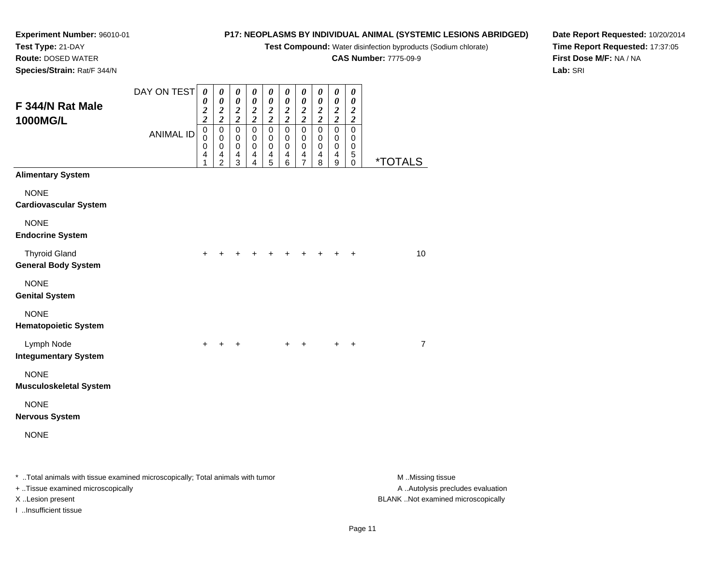**Test Compound:** Water disinfection byproducts (Sodium chlorate)

**CAS Number:** 7775-09-9

**Date Report Requested:** 10/20/2014**Time Report Requested:** 17:37:05**First Dose M/F:** NA / NA**Lab:** SRI

**Experiment Number:** 96010-01**Test Type:** 21-DAY **Route:** DOSED WATER**Species/Strain:** Rat/F 344/N

| F 344/N Rat Male<br><b>1000MG/L</b>                                                                                                                                                                                            | DAY ON TEST                                                                                                    | $\boldsymbol{\theta}$<br>0<br>$\frac{2}{2}$ | $\pmb{\theta}$<br>$\boldsymbol{\theta}$<br>$\frac{2}{2}$ | $\pmb{\theta}$<br>$\pmb{\theta}$<br>$\frac{2}{2}$ | $\boldsymbol{\theta}$<br>$\boldsymbol{\theta}$<br>$\frac{2}{2}$ | $\boldsymbol{\theta}$<br>$\boldsymbol{\theta}$<br>$\frac{2}{2}$               | $\boldsymbol{\theta}$<br>$\pmb{\theta}$<br>$\frac{2}{2}$                  | 0<br>$\pmb{\theta}$<br>$\frac{2}{2}$                              | $\boldsymbol{\theta}$<br>$\boldsymbol{\theta}$<br>$\frac{2}{2}$ | 0<br>$\pmb{\theta}$<br>$\frac{2}{2}$       | $\boldsymbol{\theta}$<br>$\boldsymbol{\theta}$<br>$\frac{2}{2}$ |                |
|--------------------------------------------------------------------------------------------------------------------------------------------------------------------------------------------------------------------------------|----------------------------------------------------------------------------------------------------------------|---------------------------------------------|----------------------------------------------------------|---------------------------------------------------|-----------------------------------------------------------------|-------------------------------------------------------------------------------|---------------------------------------------------------------------------|-------------------------------------------------------------------|-----------------------------------------------------------------|--------------------------------------------|-----------------------------------------------------------------|----------------|
|                                                                                                                                                                                                                                | <b>ANIMAL ID</b>                                                                                               | $\pmb{0}$<br>0<br>$\mathbf 0$<br>4<br>1     | $\pmb{0}$<br>$\mathbf 0$<br>$\pmb{0}$<br>$\frac{4}{2}$   | $\overline{0}$<br>0<br>$\pmb{0}$<br>4<br>3        | $\overline{0}$<br>0<br>$\pmb{0}$<br>$\overline{4}$<br>4         | $\overline{0}$<br>0<br>$\pmb{0}$<br>$\overline{\mathbf{4}}$<br>$\overline{5}$ | $\overline{0}$<br>0<br>$\pmb{0}$<br>$\begin{array}{c} 4 \\ 6 \end{array}$ | $\mathbf 0$<br>0<br>$\pmb{0}$<br>$\overline{4}$<br>$\overline{7}$ | $\pmb{0}$<br>0<br>$\mathbf 0$<br>$\overline{\mathbf{4}}$<br>8   | $\overline{0}$<br>0<br>$\pmb{0}$<br>4<br>9 | $\pmb{0}$<br>0<br>$\mathbf 0$<br>5<br>$\mathbf 0$               | <u>*TOTALS</u> |
| <b>Alimentary System</b>                                                                                                                                                                                                       |                                                                                                                |                                             |                                                          |                                                   |                                                                 |                                                                               |                                                                           |                                                                   |                                                                 |                                            |                                                                 |                |
| <b>NONE</b><br><b>Cardiovascular System</b>                                                                                                                                                                                    |                                                                                                                |                                             |                                                          |                                                   |                                                                 |                                                                               |                                                                           |                                                                   |                                                                 |                                            |                                                                 |                |
| <b>NONE</b><br><b>Endocrine System</b>                                                                                                                                                                                         |                                                                                                                |                                             |                                                          |                                                   |                                                                 |                                                                               |                                                                           |                                                                   |                                                                 |                                            |                                                                 |                |
| <b>Thyroid Gland</b><br><b>General Body System</b>                                                                                                                                                                             |                                                                                                                |                                             |                                                          |                                                   |                                                                 |                                                                               |                                                                           |                                                                   |                                                                 |                                            |                                                                 | 10             |
| <b>NONE</b><br><b>Genital System</b>                                                                                                                                                                                           |                                                                                                                |                                             |                                                          |                                                   |                                                                 |                                                                               |                                                                           |                                                                   |                                                                 |                                            |                                                                 |                |
| <b>NONE</b><br><b>Hematopoietic System</b>                                                                                                                                                                                     |                                                                                                                |                                             |                                                          |                                                   |                                                                 |                                                                               |                                                                           |                                                                   |                                                                 |                                            |                                                                 |                |
| Lymph Node<br><b>Integumentary System</b>                                                                                                                                                                                      |                                                                                                                | $+$                                         |                                                          | $\ddot{}$                                         |                                                                 |                                                                               | +                                                                         | +                                                                 |                                                                 | $\ddot{}$                                  | +                                                               | $\overline{7}$ |
| <b>NONE</b><br><b>Musculoskeletal System</b>                                                                                                                                                                                   |                                                                                                                |                                             |                                                          |                                                   |                                                                 |                                                                               |                                                                           |                                                                   |                                                                 |                                            |                                                                 |                |
| <b>NONE</b><br><b>Nervous System</b>                                                                                                                                                                                           |                                                                                                                |                                             |                                                          |                                                   |                                                                 |                                                                               |                                                                           |                                                                   |                                                                 |                                            |                                                                 |                |
| <b>NONE</b>                                                                                                                                                                                                                    |                                                                                                                |                                             |                                                          |                                                   |                                                                 |                                                                               |                                                                           |                                                                   |                                                                 |                                            |                                                                 |                |
| The fact the second control of the second second second second second second second second second second second second second second second second second second second second second second second second second second secon | and and an international continuity. The fact the continuity of the contribution of the contribution of the co |                                             |                                                          |                                                   |                                                                 |                                                                               |                                                                           |                                                                   |                                                                 |                                            |                                                                 | $A \cup B$     |

..Total animals with tissue examined microscopically; Total animals with tumor M ..Missing tissue M ..Missing tissue A ..Autolysis precludes evaluation + ..Tissue examined microscopically X ..Lesion present BLANK ..Not examined microscopicallyI ..Insufficient tissue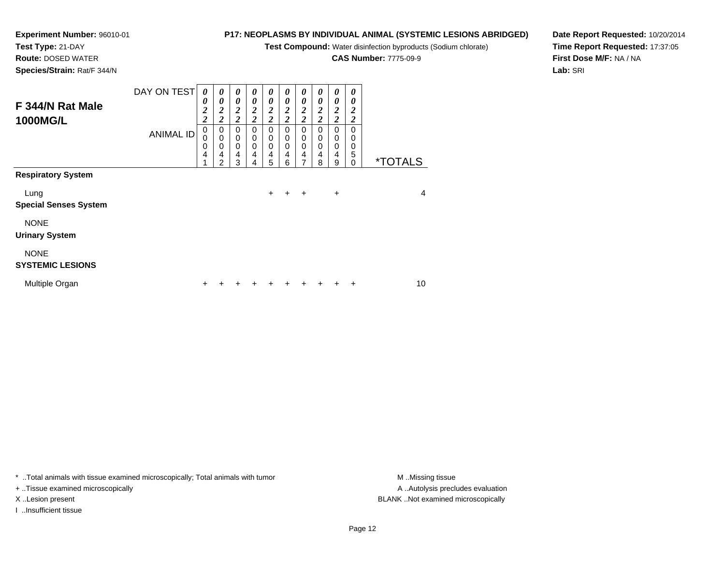**Test Compound:** Water disinfection byproducts (Sodium chlorate)

**CAS Number:** 7775-09-9

**Date Report Requested:** 10/20/2014**Time Report Requested:** 17:37:05**First Dose M/F:** NA / NA**Lab:** SRI

| Species/Strain: Rat/F 344/N            |                  |                                                              |                                                       |                                                       |                                                       |                                                                                  |                                                       |                                                                                             |                                                       |                                                              |                                     |                       |                |
|----------------------------------------|------------------|--------------------------------------------------------------|-------------------------------------------------------|-------------------------------------------------------|-------------------------------------------------------|----------------------------------------------------------------------------------|-------------------------------------------------------|---------------------------------------------------------------------------------------------|-------------------------------------------------------|--------------------------------------------------------------|-------------------------------------|-----------------------|----------------|
| F 344/N Rat Male<br><b>1000MG/L</b>    | DAY ON TEST      | 0<br>0<br>$\overline{\mathbf{c}}$<br>$\overline{\mathbf{c}}$ | 0<br>0<br>$\boldsymbol{2}$<br>$\overline{\mathbf{c}}$ | 0<br>0<br>$\boldsymbol{2}$<br>$\overline{\mathbf{c}}$ | 0<br>0<br>$\boldsymbol{2}$<br>$\overline{\mathbf{c}}$ | 0<br>$\boldsymbol{\theta}$<br>$\overline{\mathbf{c}}$<br>$\overline{\mathbf{c}}$ | 0<br>0<br>$\boldsymbol{2}$<br>$\overline{\mathbf{c}}$ | $\boldsymbol{\theta}$<br>$\boldsymbol{\theta}$<br>$\overline{\mathbf{c}}$<br>$\overline{2}$ | 0<br>0<br>$\boldsymbol{2}$<br>$\overline{\mathbf{c}}$ | 0<br>0<br>$\overline{\mathbf{c}}$<br>$\overline{\mathbf{c}}$ | 0<br>0<br>2<br>$\overline{2}$       |                       |                |
|                                        | <b>ANIMAL ID</b> | 0<br>0<br>0<br>4                                             | 0<br>0<br>0<br>4<br>2                                 | $\mathbf 0$<br>0<br>$\mathbf 0$<br>4<br>3             | 0<br>0<br>$\mathbf 0$<br>4<br>4                       | $\mathbf 0$<br>0<br>$\mathbf 0$<br>4<br>5                                        | 0<br>0<br>$\mathbf 0$<br>4<br>6                       | $\mathbf 0$<br>$\boldsymbol{0}$<br>$\mathbf 0$<br>4<br>$\overline{7}$                       | 0<br>$\boldsymbol{0}$<br>$\mathbf 0$<br>4<br>8        | $\mathbf 0$<br>0<br>$\mathbf 0$<br>$\overline{4}$<br>9       | $\Omega$<br>0<br>0<br>5<br>$\Omega$ | <i><b>*TOTALS</b></i> |                |
| <b>Respiratory System</b>              |                  |                                                              |                                                       |                                                       |                                                       |                                                                                  |                                                       |                                                                                             |                                                       |                                                              |                                     |                       |                |
| Lung<br><b>Special Senses System</b>   |                  |                                                              |                                                       |                                                       |                                                       | +                                                                                | $\ddot{}$                                             | $+$                                                                                         |                                                       | $\ddot{}$                                                    |                                     |                       | $\overline{4}$ |
| <b>NONE</b><br><b>Urinary System</b>   |                  |                                                              |                                                       |                                                       |                                                       |                                                                                  |                                                       |                                                                                             |                                                       |                                                              |                                     |                       |                |
| <b>NONE</b><br><b>SYSTEMIC LESIONS</b> |                  |                                                              |                                                       |                                                       |                                                       |                                                                                  |                                                       |                                                                                             |                                                       |                                                              |                                     |                       |                |
| Multiple Organ                         |                  |                                                              |                                                       |                                                       |                                                       |                                                                                  |                                                       |                                                                                             |                                                       |                                                              | ٠                                   | 10                    |                |

\* ..Total animals with tissue examined microscopically; Total animals with tumor **M** . Missing tissue M ..Missing tissue

+ ..Tissue examined microscopically

**Experiment Number:** 96010-01

**Test Type:** 21-DAY**Route:** DOSED WATER

I ..Insufficient tissue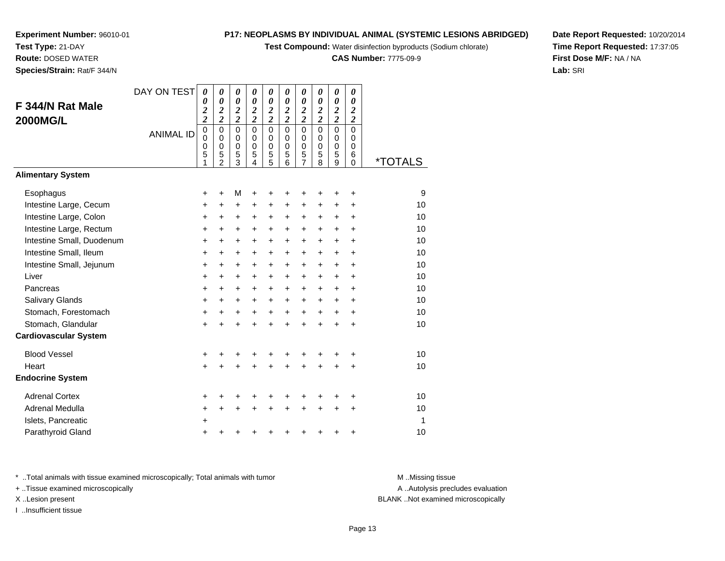**Test Compound:** Water disinfection byproducts (Sodium chlorate)

**CAS Number:** 7775-09-9

**Date Report Requested:** 10/20/2014**Time Report Requested:** 17:37:05**First Dose M/F:** NA / NA**Lab:** SRI

**Experiment Number:** 96010-01**Test Type:** 21-DAY **Route:** DOSED WATER**Species/Strain:** Rat/F 344/N

| F 344/N Rat Male<br><b>2000MG/L</b> | DAY ON TEST<br><b>ANIMAL ID</b> | 0<br>0<br>$\overline{\mathbf{c}}$<br>$\overline{\mathbf{c}}$<br>$\overline{0}$<br>0 | 0<br>0<br>$\overline{\mathbf{2}}$<br>$\overline{c}$<br>$\mathbf 0$<br>$\Omega$ | 0<br>$\boldsymbol{\theta}$<br>$\overline{\mathbf{c}}$<br>$\overline{\mathbf{c}}$<br>$\mathbf 0$<br>$\Omega$ | 0<br>0<br>$\overline{\mathbf{c}}$<br>$\overline{2}$<br>$\mathbf 0$<br>$\Omega$ | 0<br>0<br>$\overline{2}$<br>$\overline{\mathbf{c}}$<br>$\overline{0}$<br>0 | $\boldsymbol{\theta}$<br>$\boldsymbol{\theta}$<br>$\boldsymbol{2}$<br>$\overline{\mathbf{c}}$<br>$\mathbf 0$<br>$\Omega$ | 0<br>0<br>$\boldsymbol{2}$<br>$\overline{c}$<br>$\overline{0}$<br>0 | 0<br>0<br>$\boldsymbol{2}$<br>$\overline{\mathbf{c}}$<br>$\mathbf 0$<br>0 | $\boldsymbol{\theta}$<br>$\boldsymbol{\theta}$<br>$\overline{\mathbf{c}}$<br>$\overline{c}$<br>$\Omega$<br>$\Omega$ | 0<br>0<br>$\boldsymbol{2}$<br>$\overline{\mathbf{c}}$<br>$\Omega$<br>0 |                       |
|-------------------------------------|---------------------------------|-------------------------------------------------------------------------------------|--------------------------------------------------------------------------------|-------------------------------------------------------------------------------------------------------------|--------------------------------------------------------------------------------|----------------------------------------------------------------------------|--------------------------------------------------------------------------------------------------------------------------|---------------------------------------------------------------------|---------------------------------------------------------------------------|---------------------------------------------------------------------------------------------------------------------|------------------------------------------------------------------------|-----------------------|
|                                     |                                 | $\pmb{0}$<br>5<br>1                                                                 | $\mathbf 0$<br>5<br>$\overline{2}$                                             | $\mathbf 0$<br>5<br>3                                                                                       | $\mathbf 0$<br>5<br>4                                                          | $\mathbf 0$<br>5<br>5                                                      | $\mathbf 0$<br>5<br>6                                                                                                    | $\mathbf 0$<br>5<br>7                                               | 0<br>5<br>8                                                               | $\mathbf 0$<br>5<br>9                                                                                               | $\mathbf 0$<br>6<br>$\mathbf 0$                                        | <i><b>*TOTALS</b></i> |
| <b>Alimentary System</b>            |                                 |                                                                                     |                                                                                |                                                                                                             |                                                                                |                                                                            |                                                                                                                          |                                                                     |                                                                           |                                                                                                                     |                                                                        |                       |
| Esophagus                           |                                 | $\ddot{}$                                                                           | $\ddot{}$                                                                      | M                                                                                                           | +                                                                              | +                                                                          | +                                                                                                                        | +                                                                   | +                                                                         | +                                                                                                                   | $\ddot{}$                                                              | 9                     |
| Intestine Large, Cecum              |                                 | $\ddot{}$                                                                           | $\ddot{}$                                                                      | +                                                                                                           | +                                                                              | +                                                                          | $\ddot{}$                                                                                                                | $\ddot{}$                                                           | $\ddot{}$                                                                 | $\ddot{}$                                                                                                           | +                                                                      | 10                    |
| Intestine Large, Colon              |                                 | +                                                                                   | $\ddot{}$                                                                      | +                                                                                                           | $\ddot{}$                                                                      | +                                                                          | $\ddot{}$                                                                                                                | +                                                                   | $\ddot{}$                                                                 | +                                                                                                                   | +                                                                      | 10                    |
| Intestine Large, Rectum             |                                 | $\ddot{}$                                                                           | $\ddot{}$                                                                      | +                                                                                                           | $+$                                                                            | +                                                                          | $\ddot{}$                                                                                                                | $\ddot{}$                                                           | $\ddot{}$                                                                 | $\ddot{}$                                                                                                           | $\ddot{}$                                                              | 10                    |
| Intestine Small, Duodenum           |                                 | $\ddot{}$                                                                           | $\ddot{}$                                                                      | +                                                                                                           | $\ddot{}$                                                                      | +                                                                          | $\ddot{}$                                                                                                                | +                                                                   | $\ddot{}$                                                                 | $\ddot{}$                                                                                                           | $\ddot{}$                                                              | 10                    |
| Intestine Small, Ileum              |                                 | $\ddot{}$                                                                           | $\ddot{}$                                                                      | +                                                                                                           | $\ddot{}$                                                                      | +                                                                          | $\ddot{}$                                                                                                                | $\ddot{}$                                                           | $\ddot{}$                                                                 | $\ddot{}$                                                                                                           | $\ddot{}$                                                              | 10                    |
| Intestine Small, Jejunum            |                                 | +                                                                                   | $\ddot{}$                                                                      | +                                                                                                           | $\ddot{}$                                                                      | +                                                                          | +                                                                                                                        | $\ddot{}$                                                           | +                                                                         | $\ddot{}$                                                                                                           | $\ddot{}$                                                              | 10                    |
| Liver                               |                                 | $\ddot{}$                                                                           | +                                                                              | +                                                                                                           | $\ddot{}$                                                                      | +                                                                          | $\ddot{}$                                                                                                                | +                                                                   | $\ddot{}$                                                                 | $\ddot{}$                                                                                                           | +                                                                      | 10                    |
| Pancreas                            |                                 | $\ddot{}$                                                                           | $\ddot{}$                                                                      | +                                                                                                           | $\ddot{}$                                                                      | +                                                                          | $\ddot{}$                                                                                                                | $\ddot{}$                                                           | $\ddot{}$                                                                 | $\ddot{}$                                                                                                           | $\ddot{}$                                                              | 10                    |
| <b>Salivary Glands</b>              |                                 | +                                                                                   | $\ddot{}$                                                                      | +                                                                                                           | $\ddot{}$                                                                      | $\ddot{}$                                                                  | +                                                                                                                        | +                                                                   | $\ddot{}$                                                                 | $\ddot{}$                                                                                                           | +                                                                      | 10                    |
| Stomach, Forestomach                |                                 | +                                                                                   | $\ddot{}$                                                                      | $\ddot{}$                                                                                                   | $\ddot{}$                                                                      | $\ddot{}$                                                                  | $\ddot{}$                                                                                                                | $\ddot{}$                                                           | $\ddot{}$                                                                 | $\ddot{}$                                                                                                           | $\ddot{}$                                                              | 10                    |
| Stomach, Glandular                  |                                 | $\ddot{}$                                                                           | $\ddot{}$                                                                      | $\ddot{}$                                                                                                   | $\ddot{}$                                                                      | $\ddot{}$                                                                  | $\ddot{}$                                                                                                                | $\ddot{}$                                                           | $\ddot{}$                                                                 | $\ddot{}$                                                                                                           | $\ddot{}$                                                              | 10                    |
| <b>Cardiovascular System</b>        |                                 |                                                                                     |                                                                                |                                                                                                             |                                                                                |                                                                            |                                                                                                                          |                                                                     |                                                                           |                                                                                                                     |                                                                        |                       |
| <b>Blood Vessel</b>                 |                                 | +                                                                                   |                                                                                |                                                                                                             |                                                                                | +                                                                          | +                                                                                                                        | +                                                                   | +                                                                         |                                                                                                                     | +                                                                      | 10                    |
| Heart                               |                                 | $\ddot{}$                                                                           |                                                                                | $\ddot{}$                                                                                                   | ÷                                                                              | $\ddot{}$                                                                  | $\ddot{}$                                                                                                                | $\ddot{}$                                                           | $\ddot{}$                                                                 |                                                                                                                     | $\ddot{}$                                                              | 10                    |
| <b>Endocrine System</b>             |                                 |                                                                                     |                                                                                |                                                                                                             |                                                                                |                                                                            |                                                                                                                          |                                                                     |                                                                           |                                                                                                                     |                                                                        |                       |
| <b>Adrenal Cortex</b>               |                                 | +                                                                                   |                                                                                |                                                                                                             |                                                                                |                                                                            | +                                                                                                                        |                                                                     | +                                                                         |                                                                                                                     | +                                                                      | 10                    |
| Adrenal Medulla                     |                                 | +                                                                                   | +                                                                              | +                                                                                                           | $\ddot{}$                                                                      | $\ddot{}$                                                                  | $\ddot{}$                                                                                                                | $\ddot{}$                                                           | $\ddot{}$                                                                 | $\ddot{}$                                                                                                           | +                                                                      | 10                    |
| Islets, Pancreatic                  |                                 | $\ddot{}$                                                                           |                                                                                |                                                                                                             |                                                                                |                                                                            |                                                                                                                          |                                                                     |                                                                           |                                                                                                                     |                                                                        | 1                     |
| Parathyroid Gland                   |                                 | +                                                                                   |                                                                                | +                                                                                                           |                                                                                | +                                                                          | +                                                                                                                        | +                                                                   | +                                                                         | +                                                                                                                   | +                                                                      | 10                    |

\* ..Total animals with tissue examined microscopically; Total animals with tumor **M** . Missing tissue M ..Missing tissue

+ ..Tissue examined microscopically

I ..Insufficient tissue

A ..Autolysis precludes evaluation

X ..Lesion present BLANK ..Not examined microscopically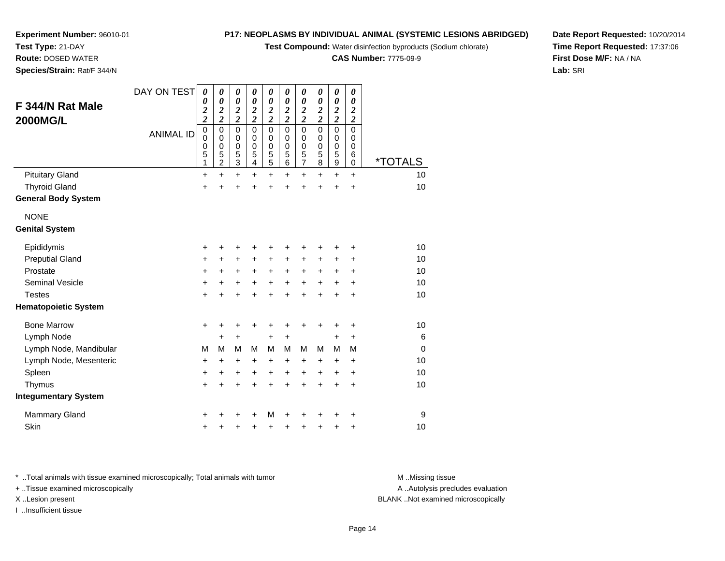**Test Compound:** Water disinfection byproducts (Sodium chlorate)

**CAS Number:** 7775-09-9

**Date Report Requested:** 10/20/2014**Time Report Requested:** 17:37:06**First Dose M/F:** NA / NA**Lab:** SRI

**Experiment Number:** 96010-01**Test Type:** 21-DAY **Route:** DOSED WATER**Species/Strain:** Rat/F 344/N

| F 344/N Rat Male<br><b>2000MG/L</b> | DAY ON TEST<br><b>ANIMAL ID</b> | 0<br>0<br>$\overline{\mathbf{c}}$<br>$\overline{\mathbf{c}}$<br>0<br>0<br>0<br>5 | 0<br>0<br>$\boldsymbol{2}$<br>$\overline{2}$<br>$\mathbf 0$<br>$\mathbf 0$<br>$\mathbf 0$<br>5 | 0<br>0<br>$\overline{\mathbf{c}}$<br>$\overline{2}$<br>$\mathbf 0$<br>$\mathbf 0$<br>$\mathbf 0$<br>5 | 0<br>0<br>$\overline{2}$<br>$\overline{\mathbf{c}}$<br>$\Omega$<br>$\Omega$<br>$\mathbf 0$<br>5 | 0<br>$\boldsymbol{\theta}$<br>$\boldsymbol{2}$<br>$\overline{\mathbf{c}}$<br>$\mathbf 0$<br>0<br>$\pmb{0}$<br>$\frac{5}{5}$ | 0<br>0<br>$\boldsymbol{2}$<br>$\overline{2}$<br>$\Omega$<br>0<br>$\mathbf 0$<br>5 | $\boldsymbol{\theta}$<br>0<br>$\overline{\mathbf{c}}$<br>$\overline{\mathbf{c}}$<br>$\mathbf 0$<br>0<br>$\begin{array}{c} 0 \\ 5 \\ 7 \end{array}$ | 0<br>0<br>$\overline{\mathbf{c}}$<br>$\overline{2}$<br>0<br>0<br>$\mathbf 0$<br>5 | 0<br>0<br>$\boldsymbol{2}$<br>$\overline{c}$<br>$\mathbf 0$<br>$\mathbf 0$<br>$\mathbf 0$<br>5 | 0<br>$\boldsymbol{\theta}$<br>2<br>$\overline{\mathbf{c}}$<br>$\Omega$<br>$\Omega$<br>$\mathbf 0$<br>6 |                       |
|-------------------------------------|---------------------------------|----------------------------------------------------------------------------------|------------------------------------------------------------------------------------------------|-------------------------------------------------------------------------------------------------------|-------------------------------------------------------------------------------------------------|-----------------------------------------------------------------------------------------------------------------------------|-----------------------------------------------------------------------------------|----------------------------------------------------------------------------------------------------------------------------------------------------|-----------------------------------------------------------------------------------|------------------------------------------------------------------------------------------------|--------------------------------------------------------------------------------------------------------|-----------------------|
|                                     |                                 | 1                                                                                | $\overline{c}$                                                                                 | 3                                                                                                     | 4                                                                                               |                                                                                                                             | 6                                                                                 |                                                                                                                                                    | 8                                                                                 | 9                                                                                              | 0                                                                                                      | <i><b>*TOTALS</b></i> |
| <b>Pituitary Gland</b>              |                                 | +                                                                                | $\ddot{}$                                                                                      | $\ddot{}$                                                                                             | +                                                                                               | $\ddot{}$                                                                                                                   | $\ddot{}$                                                                         | +                                                                                                                                                  | $\pm$                                                                             | +                                                                                              | $\ddot{}$                                                                                              | 10                    |
| <b>Thyroid Gland</b>                |                                 | $\ddot{}$                                                                        |                                                                                                | +                                                                                                     | Ŧ.                                                                                              | $\ddot{}$                                                                                                                   | $\ddot{}$                                                                         | $\ddot{}$                                                                                                                                          | +                                                                                 | +                                                                                              | $\ddot{}$                                                                                              | 10                    |
| <b>General Body System</b>          |                                 |                                                                                  |                                                                                                |                                                                                                       |                                                                                                 |                                                                                                                             |                                                                                   |                                                                                                                                                    |                                                                                   |                                                                                                |                                                                                                        |                       |
| <b>NONE</b>                         |                                 |                                                                                  |                                                                                                |                                                                                                       |                                                                                                 |                                                                                                                             |                                                                                   |                                                                                                                                                    |                                                                                   |                                                                                                |                                                                                                        |                       |
| <b>Genital System</b>               |                                 |                                                                                  |                                                                                                |                                                                                                       |                                                                                                 |                                                                                                                             |                                                                                   |                                                                                                                                                    |                                                                                   |                                                                                                |                                                                                                        |                       |
| Epididymis                          |                                 | +                                                                                | ٠                                                                                              | ٠                                                                                                     | +                                                                                               | +                                                                                                                           |                                                                                   | +                                                                                                                                                  |                                                                                   | +                                                                                              | +                                                                                                      | 10                    |
| <b>Preputial Gland</b>              |                                 | +                                                                                | +                                                                                              | +                                                                                                     | +                                                                                               | $\ddot{}$                                                                                                                   | +                                                                                 | +                                                                                                                                                  | +                                                                                 | +                                                                                              | ٠                                                                                                      | 10                    |
| Prostate                            |                                 | +                                                                                | $\ddot{}$                                                                                      | $\ddot{}$                                                                                             | $\ddot{}$                                                                                       | $\ddot{}$                                                                                                                   | $\ddot{}$                                                                         | $\ddot{}$                                                                                                                                          | +                                                                                 | $\ddot{}$                                                                                      | $\ddot{}$                                                                                              | 10                    |
| <b>Seminal Vesicle</b>              |                                 | +                                                                                | $\ddot{}$                                                                                      | +                                                                                                     | +                                                                                               | $\ddot{}$                                                                                                                   | $\ddot{}$                                                                         | $\ddot{}$                                                                                                                                          | $+$                                                                               | $\ddot{}$                                                                                      | $\ddot{}$                                                                                              | 10                    |
| <b>Testes</b>                       |                                 | $\ddot{}$                                                                        |                                                                                                | +                                                                                                     | +                                                                                               | $\ddot{}$                                                                                                                   | ÷                                                                                 | $\ddot{}$                                                                                                                                          | +                                                                                 | $\ddot{}$                                                                                      | $\ddot{}$                                                                                              | 10                    |
| <b>Hematopoietic System</b>         |                                 |                                                                                  |                                                                                                |                                                                                                       |                                                                                                 |                                                                                                                             |                                                                                   |                                                                                                                                                    |                                                                                   |                                                                                                |                                                                                                        |                       |
| <b>Bone Marrow</b>                  |                                 | $\ddot{}$                                                                        | +                                                                                              | +                                                                                                     | +                                                                                               | +                                                                                                                           | ٠                                                                                 | ٠                                                                                                                                                  | +                                                                                 | +                                                                                              | +                                                                                                      | 10                    |
| Lymph Node                          |                                 |                                                                                  | $\ddot{}$                                                                                      | $\ddot{}$                                                                                             |                                                                                                 | +                                                                                                                           | $\ddot{}$                                                                         |                                                                                                                                                    |                                                                                   | +                                                                                              | +                                                                                                      | 6                     |
| Lymph Node, Mandibular              |                                 | М                                                                                | М                                                                                              | M                                                                                                     | м                                                                                               | M                                                                                                                           | м                                                                                 | M                                                                                                                                                  | М                                                                                 | M                                                                                              | M                                                                                                      | $\mathbf 0$           |
| Lymph Node, Mesenteric              |                                 | +                                                                                | +                                                                                              | +                                                                                                     | +                                                                                               | +                                                                                                                           | +                                                                                 | +                                                                                                                                                  | +                                                                                 | +                                                                                              | +                                                                                                      | 10                    |
| Spleen                              |                                 | +                                                                                | +                                                                                              | +                                                                                                     | +                                                                                               | +                                                                                                                           | $\ddot{}$                                                                         | +                                                                                                                                                  | $\pm$                                                                             | $\pm$                                                                                          | +                                                                                                      | 10                    |
| Thymus                              |                                 | $\pm$                                                                            |                                                                                                | $\ddot{}$                                                                                             | +                                                                                               | $\ddot{}$                                                                                                                   | ÷                                                                                 | +                                                                                                                                                  | +                                                                                 | +                                                                                              | $\ddot{}$                                                                                              | 10                    |
| <b>Integumentary System</b>         |                                 |                                                                                  |                                                                                                |                                                                                                       |                                                                                                 |                                                                                                                             |                                                                                   |                                                                                                                                                    |                                                                                   |                                                                                                |                                                                                                        |                       |
| <b>Mammary Gland</b>                |                                 | +                                                                                |                                                                                                | +                                                                                                     | +                                                                                               | М                                                                                                                           |                                                                                   | +                                                                                                                                                  |                                                                                   |                                                                                                | ٠                                                                                                      | 9                     |
| Skin                                |                                 | +                                                                                |                                                                                                | +                                                                                                     | +                                                                                               | +                                                                                                                           | +                                                                                 | +                                                                                                                                                  | +                                                                                 | +                                                                                              | +                                                                                                      | 10                    |

\* ..Total animals with tissue examined microscopically; Total animals with tumor **M** . Missing tissue M ..Missing tissue

+ ..Tissue examined microscopically

I ..Insufficient tissue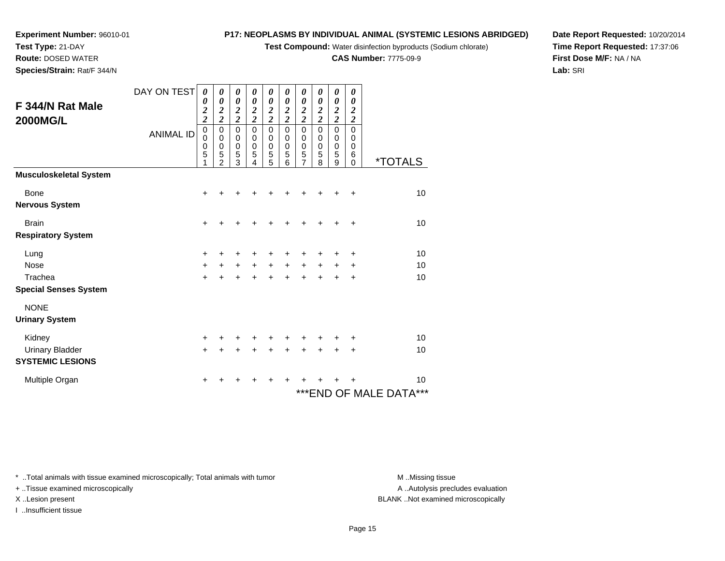**Test Compound:** Water disinfection byproducts (Sodium chlorate)

**CAS Number:** 7775-09-9

**Date Report Requested:** 10/20/2014**Time Report Requested:** 17:37:06**First Dose M/F:** NA / NA**Lab:** SRI

| Species/Strain: Rat/F 344/N         |                                                  |  |  |
|-------------------------------------|--------------------------------------------------|--|--|
| F 344/N Rat Male<br><b>2000MG/L</b> |                                                  |  |  |
|                                     | ANIMAL ID $\begin{bmatrix} 0 \\ 0 \end{bmatrix}$ |  |  |

**Experiment Number:** 96010-01

**Test Type:** 21-DAY**Route:** DOSED WATER

| F 344/N Rat Male<br><b>2000MG/L</b> | DAY ON TEST<br><b>ANIMAL ID</b> | 0<br>0<br>$\boldsymbol{2}$<br>$\overline{\mathbf{c}}$<br>$\mathbf 0$<br>$\mathbf 0$<br>$\mathbf 0$<br>5 | $\boldsymbol{\theta}$<br>0<br>$\frac{2}{2}$<br>$\pmb{0}$<br>0<br>$\mathbf 0$<br>5<br>$\overline{2}$ | 0<br>0<br>$\frac{2}{2}$<br>$\mathbf 0$<br>$\pmb{0}$<br>$\mathbf 0$<br>5<br>3 | 0<br>0<br>$\frac{2}{2}$<br>$\pmb{0}$<br>0<br>$\mathbf 0$<br>5<br>4 | 0<br>0<br>$\frac{2}{2}$<br>$\mathbf 0$<br>$\pmb{0}$<br>$\pmb{0}$<br>5<br>5 | 0<br>$\boldsymbol{\theta}$<br>$\frac{2}{2}$<br>$\mathbf 0$<br>$\mathbf 0$<br>$\mathbf 0$<br>5<br>6 | 0<br>0<br>$\frac{2}{2}$<br>0<br>0<br>0<br>5<br>7 | 0<br>$\boldsymbol{\theta}$<br>$\frac{2}{2}$<br>$\mathbf 0$<br>0<br>$\mathbf 0$<br>5<br>8 | 0<br>$\boldsymbol{\theta}$<br>$\frac{2}{2}$<br>$\mathbf 0$<br>0<br>$\mathbf 0$<br>5<br>9 | 0<br>0<br>$\boldsymbol{c}$<br>$\overline{\mathbf{c}}$<br>$\mathbf 0$<br>0<br>0<br>6<br>$\mathbf 0$ | <i><b>*TOTALS</b></i>   |
|-------------------------------------|---------------------------------|---------------------------------------------------------------------------------------------------------|-----------------------------------------------------------------------------------------------------|------------------------------------------------------------------------------|--------------------------------------------------------------------|----------------------------------------------------------------------------|----------------------------------------------------------------------------------------------------|--------------------------------------------------|------------------------------------------------------------------------------------------|------------------------------------------------------------------------------------------|----------------------------------------------------------------------------------------------------|-------------------------|
| <b>Musculoskeletal System</b>       |                                 |                                                                                                         |                                                                                                     |                                                                              |                                                                    |                                                                            |                                                                                                    |                                                  |                                                                                          |                                                                                          |                                                                                                    |                         |
| <b>Bone</b>                         |                                 | +                                                                                                       |                                                                                                     |                                                                              |                                                                    |                                                                            |                                                                                                    |                                                  |                                                                                          |                                                                                          | +                                                                                                  | 10                      |
| <b>Nervous System</b>               |                                 |                                                                                                         |                                                                                                     |                                                                              |                                                                    |                                                                            |                                                                                                    |                                                  |                                                                                          |                                                                                          |                                                                                                    |                         |
| <b>Brain</b>                        |                                 | $\ddot{}$                                                                                               |                                                                                                     |                                                                              | ٠                                                                  |                                                                            | +                                                                                                  | +                                                |                                                                                          |                                                                                          | +                                                                                                  | 10                      |
| <b>Respiratory System</b>           |                                 |                                                                                                         |                                                                                                     |                                                                              |                                                                    |                                                                            |                                                                                                    |                                                  |                                                                                          |                                                                                          |                                                                                                    |                         |
| Lung                                |                                 | +                                                                                                       |                                                                                                     | ٠                                                                            | +                                                                  | +                                                                          | +                                                                                                  | +                                                | +                                                                                        | +                                                                                        | +                                                                                                  | 10                      |
| <b>Nose</b>                         |                                 | $\ddot{}$                                                                                               | +                                                                                                   | $\ddot{}$                                                                    | $\ddot{}$                                                          | $\ddot{}$                                                                  | $\ddot{}$                                                                                          | $\ddot{}$                                        | $\ddot{}$                                                                                | $\ddot{}$                                                                                | $\ddot{}$                                                                                          | 10                      |
| Trachea                             |                                 | $\ddot{}$                                                                                               |                                                                                                     |                                                                              |                                                                    |                                                                            | $\ddot{}$                                                                                          | $\ddot{}$                                        | $\ddot{}$                                                                                |                                                                                          | $\ddot{}$                                                                                          | 10                      |
| <b>Special Senses System</b>        |                                 |                                                                                                         |                                                                                                     |                                                                              |                                                                    |                                                                            |                                                                                                    |                                                  |                                                                                          |                                                                                          |                                                                                                    |                         |
| <b>NONE</b>                         |                                 |                                                                                                         |                                                                                                     |                                                                              |                                                                    |                                                                            |                                                                                                    |                                                  |                                                                                          |                                                                                          |                                                                                                    |                         |
| <b>Urinary System</b>               |                                 |                                                                                                         |                                                                                                     |                                                                              |                                                                    |                                                                            |                                                                                                    |                                                  |                                                                                          |                                                                                          |                                                                                                    |                         |
| Kidney                              |                                 | $\ddot{}$                                                                                               |                                                                                                     |                                                                              |                                                                    |                                                                            | +                                                                                                  | +                                                |                                                                                          |                                                                                          | +                                                                                                  | 10                      |
| <b>Urinary Bladder</b>              |                                 | $\ddot{}$                                                                                               |                                                                                                     |                                                                              | $\div$                                                             | +                                                                          | $\ddot{}$                                                                                          | +                                                | $\ddot{}$                                                                                | +                                                                                        | +                                                                                                  | 10                      |
| <b>SYSTEMIC LESIONS</b>             |                                 |                                                                                                         |                                                                                                     |                                                                              |                                                                    |                                                                            |                                                                                                    |                                                  |                                                                                          |                                                                                          |                                                                                                    |                         |
| Multiple Organ                      |                                 | ٠                                                                                                       |                                                                                                     |                                                                              |                                                                    | +                                                                          | +                                                                                                  |                                                  |                                                                                          |                                                                                          |                                                                                                    | 10                      |
|                                     |                                 |                                                                                                         |                                                                                                     |                                                                              |                                                                    |                                                                            |                                                                                                    |                                                  |                                                                                          |                                                                                          |                                                                                                    | *** END OF MALE DATA*** |

\* ..Total animals with tissue examined microscopically; Total animals with tumor **M** ...Missing tissue M ...Missing tissue

+ ..Tissue examined microscopically

I ..Insufficient tissue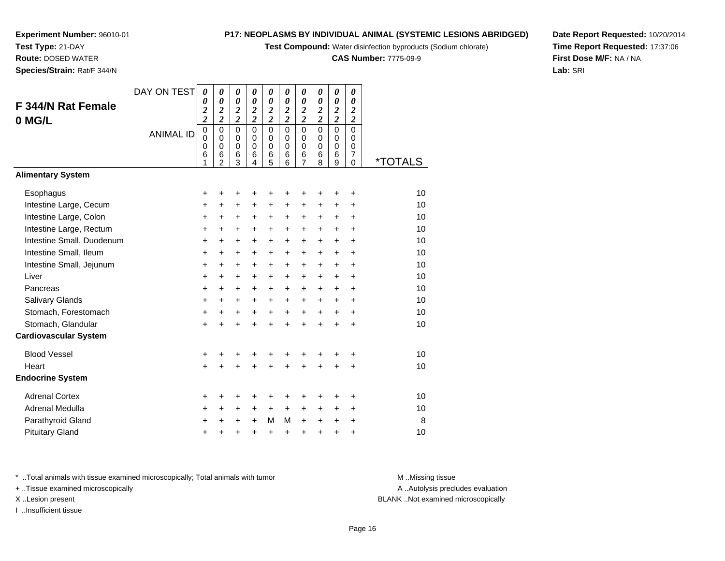# **Experiment Number:** 96010-01

**Test Type:** 21-DAY**Route:** DOSED WATER

**Species/Strain:** Rat/F 344/N

## **P17: NEOPLASMS BY INDIVIDUAL ANIMAL (SYSTEMIC LESIONS ABRIDGED)**

**Test Compound:** Water disinfection byproducts (Sodium chlorate)

**CAS Number:** 7775-09-9

**Date Report Requested:** 10/20/2014**Time Report Requested:** 17:37:06**First Dose M/F:** NA / NA**Lab:** SRI

| F 344/N Rat Female           | DAY ON TEST      | 0<br>0<br>$\overline{\mathbf{c}}$       | $\boldsymbol{\theta}$<br>$\boldsymbol{\theta}$<br>$\overline{\mathbf{c}}$ | 0<br>$\boldsymbol{\theta}$<br>$\overline{\mathbf{c}}$          | $\pmb{\theta}$<br>$\boldsymbol{\theta}$<br>$\overline{\mathbf{c}}$ | 0<br>$\boldsymbol{\theta}$<br>$\overline{\mathbf{c}}$ | $\boldsymbol{\theta}$<br>$\boldsymbol{\theta}$<br>$\overline{\mathbf{c}}$ | 0<br>0<br>$\overline{\mathbf{c}}$                         | 0<br>0<br>$\boldsymbol{2}$                   | 0<br>$\boldsymbol{\theta}$<br>$\overline{\mathbf{c}}$  | 0<br>0<br>$\boldsymbol{2}$             |                       |
|------------------------------|------------------|-----------------------------------------|---------------------------------------------------------------------------|----------------------------------------------------------------|--------------------------------------------------------------------|-------------------------------------------------------|---------------------------------------------------------------------------|-----------------------------------------------------------|----------------------------------------------|--------------------------------------------------------|----------------------------------------|-----------------------|
| 0 MG/L                       |                  | $\overline{\mathbf{c}}$                 | $\overline{c}$                                                            | $\overline{c}$                                                 | $\overline{\mathbf{c}}$                                            | $\overline{\mathbf{c}}$                               | $\overline{2}$                                                            | $\overline{c}$                                            | $\overline{2}$                               | $\overline{c}$                                         | $\overline{\mathbf{c}}$                |                       |
|                              | <b>ANIMAL ID</b> | $\mathbf 0$<br>$\pmb{0}$<br>0<br>6<br>1 | $\mathbf 0$<br>$\mathbf 0$<br>$\mathbf 0$<br>6<br>$\overline{2}$          | $\mathbf 0$<br>$\pmb{0}$<br>$\mathbf 0$<br>6<br>$\overline{3}$ | $\mathbf 0$<br>$\mathbf 0$<br>$\mathbf 0$<br>6<br>$\overline{4}$   | $\mathbf 0$<br>0<br>$\mathbf 0$<br>6<br>5             | $\overline{0}$<br>$\mathbf 0$<br>$\mathbf 0$<br>6<br>6                    | $\overline{0}$<br>0<br>$\mathbf 0$<br>6<br>$\overline{7}$ | $\overline{0}$<br>0<br>$\mathbf 0$<br>6<br>8 | $\overline{0}$<br>$\mathbf 0$<br>$\mathbf 0$<br>6<br>9 | $\mathbf 0$<br>0<br>0<br>7<br>$\Omega$ | <i><b>*TOTALS</b></i> |
| <b>Alimentary System</b>     |                  |                                         |                                                                           |                                                                |                                                                    |                                                       |                                                                           |                                                           |                                              |                                                        |                                        |                       |
| Esophagus                    |                  | +                                       | +                                                                         | +                                                              | +                                                                  | +                                                     | +                                                                         | ٠                                                         | ٠                                            | ٠                                                      | ÷                                      | 10                    |
| Intestine Large, Cecum       |                  | +                                       | +                                                                         | $\ddot{}$                                                      | +                                                                  | +                                                     | +                                                                         | +                                                         | $\ddot{}$                                    | $\ddot{}$                                              | $\ddot{}$                              | 10                    |
| Intestine Large, Colon       |                  | +                                       | $\ddot{}$                                                                 | $\ddot{}$                                                      | $\ddot{}$                                                          | $\ddot{}$                                             | $\ddot{}$                                                                 | $\ddot{}$                                                 | +                                            | $\ddot{}$                                              | $\ddot{}$                              | 10                    |
| Intestine Large, Rectum      |                  | $\ddot{}$                               | +                                                                         | +                                                              | +                                                                  | $\ddot{}$                                             | $\ddot{}$                                                                 | $\pm$                                                     | $\ddot{}$                                    | $\ddot{}$                                              | $\ddot{}$                              | 10                    |
| Intestine Small, Duodenum    |                  | +                                       | $\ddot{}$                                                                 | $\ddot{}$                                                      | $\ddot{}$                                                          | +                                                     | $\ddot{}$                                                                 | $\ddot{}$                                                 | $\ddot{}$                                    | $\ddot{}$                                              | $\ddot{}$                              | 10                    |
| Intestine Small, Ileum       |                  | +                                       | $\ddot{}$                                                                 | $\ddot{}$                                                      | $\ddot{}$                                                          | $\ddot{}$                                             | $\ddot{}$                                                                 | $+$                                                       | $+$                                          | $+$                                                    | $\ddot{}$                              | 10                    |
| Intestine Small, Jejunum     |                  | +                                       | $\ddot{}$                                                                 | $\ddot{}$                                                      | +                                                                  | $\ddot{}$                                             | $\ddot{}$                                                                 | $\ddot{}$                                                 | $\ddot{}$                                    | $\ddot{}$                                              | $\ddot{}$                              | 10                    |
| Liver                        |                  | $\ddot{}$                               | $\ddot{}$                                                                 | $\ddot{}$                                                      | $\ddot{}$                                                          | $\ddot{}$                                             | $\ddot{}$                                                                 | $\ddot{}$                                                 | $\ddot{}$                                    | $\ddot{}$                                              | $\ddot{}$                              | 10                    |
| Pancreas                     |                  | $\ddot{}$                               | $\ddot{}$                                                                 | $\ddot{}$                                                      | $\ddot{}$                                                          | $\ddot{}$                                             | $\ddot{}$                                                                 | $+$                                                       | $\ddot{}$                                    | $\ddot{}$                                              | $\ddot{}$                              | 10                    |
| Salivary Glands              |                  | +                                       | $\ddot{}$                                                                 | +                                                              | +                                                                  | +                                                     | $\ddot{}$                                                                 | $\ddot{}$                                                 | $\ddot{}$                                    | +                                                      | $\ddot{}$                              | 10                    |
| Stomach, Forestomach         |                  | +                                       | $\ddot{}$                                                                 | $\ddot{}$                                                      | $\ddot{}$                                                          | $\ddot{}$                                             | $\ddot{}$                                                                 | $\ddot{}$                                                 | $+$                                          | $\ddot{}$                                              | $\ddot{}$                              | 10                    |
| Stomach, Glandular           |                  | $\ddot{}$                               |                                                                           | $\ddot{}$                                                      | $\ddot{}$                                                          | $\ddot{}$                                             | $\ddot{}$                                                                 | $\ddot{}$                                                 | $\ddot{}$                                    | $\ddot{}$                                              | $\ddot{}$                              | 10                    |
| <b>Cardiovascular System</b> |                  |                                         |                                                                           |                                                                |                                                                    |                                                       |                                                                           |                                                           |                                              |                                                        |                                        |                       |
| <b>Blood Vessel</b>          |                  | +                                       | +                                                                         | +                                                              | +                                                                  | +                                                     | +                                                                         | +                                                         | +                                            |                                                        | +                                      | 10                    |
| Heart                        |                  | $\ddot{}$                               |                                                                           | Ŧ.                                                             | Ŧ.                                                                 | $\ddot{}$                                             | Ŧ.                                                                        | $\ddot{}$                                                 | $\ddot{}$                                    | $\ddot{}$                                              | $\ddot{}$                              | 10                    |
| <b>Endocrine System</b>      |                  |                                         |                                                                           |                                                                |                                                                    |                                                       |                                                                           |                                                           |                                              |                                                        |                                        |                       |
| <b>Adrenal Cortex</b>        |                  | +                                       | +                                                                         | +                                                              | +                                                                  | +                                                     | +                                                                         | +                                                         | ٠                                            | +                                                      | +                                      | 10                    |
| Adrenal Medulla              |                  | +                                       | +                                                                         | +                                                              | $\ddot{}$                                                          | $\ddot{}$                                             | $\ddot{}$                                                                 | $\ddot{}$                                                 | $\ddot{}$                                    | $\ddot{}$                                              | $\ddot{}$                              | 10                    |
| Parathyroid Gland            |                  | +                                       |                                                                           | $\ddot{}$                                                      | $\ddot{}$                                                          | M                                                     | м                                                                         | $\ddot{}$                                                 | $\ddot{}$                                    | $\ddot{}$                                              | $\ddot{}$                              | 8                     |
| <b>Pituitary Gland</b>       |                  | +                                       | +                                                                         | +                                                              | +                                                                  | +                                                     | $\ddot{}$                                                                 | +                                                         | +                                            | +                                                      | $\ddot{}$                              | 10                    |

\* ..Total animals with tissue examined microscopically; Total animals with tumor **M** . Missing tissue M ..Missing tissue

+ ..Tissue examined microscopically

I ..Insufficient tissue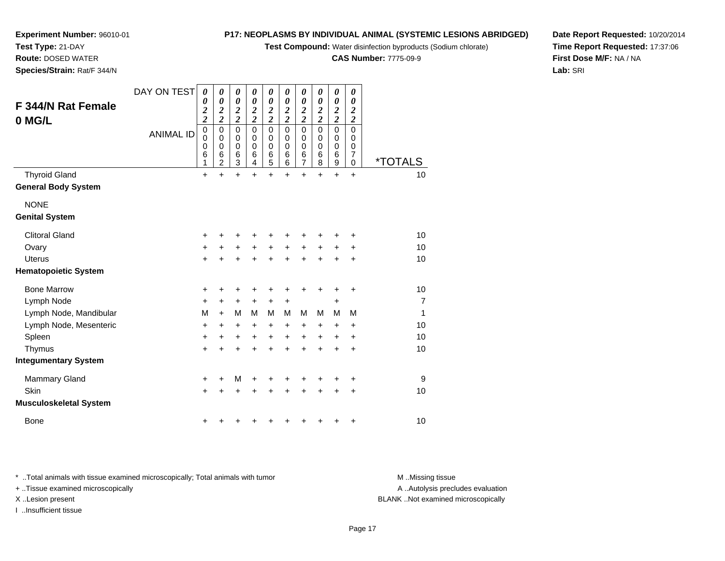**Test Compound:** Water disinfection byproducts (Sodium chlorate)

**CAS Number:** 7775-09-9

**Date Report Requested:** 10/20/2014**Time Report Requested:** 17:37:06**First Dose M/F:** NA / NA**Lab:** SRI

**Experiment Number:** 96010-01

| <b>F344/N Rat Female</b><br>0 MG/L | DAY ON TEST      | 0<br>0<br>$\overline{\mathbf{c}}$<br>$\overline{\mathbf{c}}$ | 0<br>0<br>2<br>$\boldsymbol{2}$                        | 0<br>$\boldsymbol{\theta}$<br>$\boldsymbol{2}$<br>$\overline{c}$ | 0<br>$\boldsymbol{\theta}$<br>2<br>$\overline{c}$ | 0<br>0<br>$\overline{\mathbf{c}}$<br>$\overline{\mathbf{c}}$ | 0<br>$\boldsymbol{\theta}$<br>$\boldsymbol{2}$<br>$\overline{\mathbf{c}}$ | 0<br>$\boldsymbol{\theta}$<br>$\boldsymbol{2}$<br>$\overline{\mathbf{c}}$ | 0<br>$\boldsymbol{\theta}$<br>$\boldsymbol{2}$<br>$\overline{\mathbf{c}}$ | 0<br>0<br>$\boldsymbol{2}$<br>$\overline{\mathbf{c}}$                  | 0<br>0<br>$\boldsymbol{2}$<br>$\boldsymbol{2}$                   |                       |
|------------------------------------|------------------|--------------------------------------------------------------|--------------------------------------------------------|------------------------------------------------------------------|---------------------------------------------------|--------------------------------------------------------------|---------------------------------------------------------------------------|---------------------------------------------------------------------------|---------------------------------------------------------------------------|------------------------------------------------------------------------|------------------------------------------------------------------|-----------------------|
|                                    | <b>ANIMAL ID</b> | $\pmb{0}$<br>0<br>0<br>$\,6$<br>$\mathbf{1}$                 | $\mathbf 0$<br>0<br>$\mathbf 0$<br>6<br>$\overline{c}$ | $\mathbf 0$<br>0<br>0<br>$\,6$<br>3                              | $\mathbf 0$<br>0<br>0<br>$\,6$<br>$\overline{4}$  | $\overline{0}$<br>0<br>0<br>6<br>$\overline{5}$              | $\mathbf 0$<br>0<br>$\Omega$<br>6<br>6                                    | $\mathbf 0$<br>0<br>$\mathbf 0$<br>6<br>7                                 | $\mathbf 0$<br>$\mathbf 0$<br>$\mathbf 0$<br>$6\phantom{1}6$<br>8         | $\mathbf 0$<br>0<br>$\mathbf 0$<br>$6\phantom{1}6$<br>$\boldsymbol{9}$ | $\mathbf 0$<br>$\mathbf 0$<br>$\mathbf 0$<br>$\overline{7}$<br>0 | <i><b>*TOTALS</b></i> |
| <b>Thyroid Gland</b>               |                  | $\ddot{}$                                                    | $\ddot{}$                                              | $\ddot{}$                                                        | $\ddot{}$                                         | $+$                                                          | $\ddot{}$                                                                 | $\ddot{}$                                                                 | $\ddot{}$                                                                 | $\ddot{}$                                                              | $\ddot{}$                                                        | 10                    |
| <b>General Body System</b>         |                  |                                                              |                                                        |                                                                  |                                                   |                                                              |                                                                           |                                                                           |                                                                           |                                                                        |                                                                  |                       |
| <b>NONE</b>                        |                  |                                                              |                                                        |                                                                  |                                                   |                                                              |                                                                           |                                                                           |                                                                           |                                                                        |                                                                  |                       |
| <b>Genital System</b>              |                  |                                                              |                                                        |                                                                  |                                                   |                                                              |                                                                           |                                                                           |                                                                           |                                                                        |                                                                  |                       |
| <b>Clitoral Gland</b>              |                  | +                                                            | ٠                                                      | +                                                                |                                                   | +                                                            |                                                                           |                                                                           |                                                                           |                                                                        | +                                                                | 10                    |
| Ovary                              |                  | +                                                            | +                                                      | +                                                                | +                                                 | $\ddot{}$                                                    | +                                                                         | +                                                                         | +                                                                         | +                                                                      | +                                                                | 10                    |
| <b>Uterus</b>                      |                  | $\ddot{}$                                                    | ÷                                                      | $\ddot{}$                                                        | $\ddot{}$                                         | $\ddot{}$                                                    | $\ddot{}$                                                                 | $\ddot{}$                                                                 | $\ddot{}$                                                                 | $\div$                                                                 | +                                                                | 10                    |
| <b>Hematopoietic System</b>        |                  |                                                              |                                                        |                                                                  |                                                   |                                                              |                                                                           |                                                                           |                                                                           |                                                                        |                                                                  |                       |
| <b>Bone Marrow</b>                 |                  | +                                                            | +                                                      | +                                                                | +                                                 | +                                                            | +                                                                         | +                                                                         |                                                                           | +                                                                      | +                                                                | 10                    |
| Lymph Node                         |                  | +                                                            | $\ddot{}$                                              | +                                                                | $\ddot{}$                                         | $\ddot{}$                                                    | +                                                                         |                                                                           |                                                                           | +                                                                      |                                                                  | $\overline{7}$        |
| Lymph Node, Mandibular             |                  | M                                                            | $\ddot{}$                                              | M                                                                | м                                                 | M                                                            | M                                                                         | M                                                                         | M                                                                         | M                                                                      | M                                                                | 1                     |
| Lymph Node, Mesenteric             |                  | +                                                            | +                                                      | +                                                                | +                                                 | +                                                            | +                                                                         | +                                                                         | $\ddot{}$                                                                 | +                                                                      | +                                                                | 10                    |
| Spleen                             |                  | $\ddot{}$                                                    | $\ddot{}$                                              | $\ddot{}$                                                        | $\ddot{}$                                         | $\ddot{}$                                                    | $\ddot{}$                                                                 | $\ddot{}$                                                                 | $\ddot{}$                                                                 | $\ddot{}$                                                              | +                                                                | 10                    |
| Thymus                             |                  | $+$                                                          | ÷                                                      | $\ddot{}$                                                        | $\ddot{}$                                         | $\ddot{}$                                                    | ÷                                                                         | $\ddot{}$                                                                 | $\ddot{}$                                                                 | +                                                                      | $\ddot{}$                                                        | 10                    |
| <b>Integumentary System</b>        |                  |                                                              |                                                        |                                                                  |                                                   |                                                              |                                                                           |                                                                           |                                                                           |                                                                        |                                                                  |                       |
| <b>Mammary Gland</b>               |                  | +                                                            | +                                                      | M                                                                |                                                   | +                                                            | +                                                                         |                                                                           |                                                                           |                                                                        | +                                                                | 9                     |
| Skin                               |                  | $+$                                                          | +                                                      | $\ddot{}$                                                        | $\div$                                            | $\pm$                                                        | +                                                                         | +                                                                         | +                                                                         | $\ddot{}$                                                              | +                                                                | 10                    |
| <b>Musculoskeletal System</b>      |                  |                                                              |                                                        |                                                                  |                                                   |                                                              |                                                                           |                                                                           |                                                                           |                                                                        |                                                                  |                       |
| <b>Bone</b>                        |                  | +                                                            | ٠                                                      | +                                                                |                                                   | +                                                            | ٠                                                                         | +                                                                         |                                                                           | ٠                                                                      | +                                                                | 10                    |

\* ..Total animals with tissue examined microscopically; Total animals with tumor **M** . Missing tissue M ..Missing tissue

+ ..Tissue examined microscopically

I ..Insufficient tissue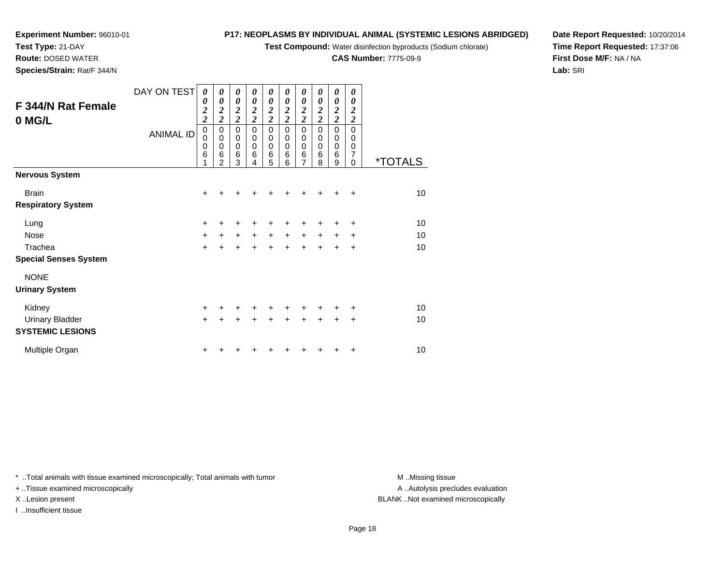**Test Compound:** Water disinfection byproducts (Sodium chlorate)

**CAS Number:** 7775-09-9

**Date Report Requested:** 10/20/2014**Time Report Requested:** 17:37:06**First Dose M/F:** NA / NA**Lab:** SRI

|                              | DAY ON TEST      | 0<br>0                                  | 0<br>0                                     | $\boldsymbol{\theta}$<br>0                   | $\boldsymbol{\theta}$<br>0                   | $\boldsymbol{\theta}$<br>0                   | $\boldsymbol{\theta}$<br>0        | 0<br>0                            | 0<br>0                            | $\boldsymbol{\theta}$<br>0         | $\boldsymbol{\theta}$<br>0 |                       |
|------------------------------|------------------|-----------------------------------------|--------------------------------------------|----------------------------------------------|----------------------------------------------|----------------------------------------------|-----------------------------------|-----------------------------------|-----------------------------------|------------------------------------|----------------------------|-----------------------|
| F 344/N Rat Female           |                  | $\boldsymbol{2}$                        | $\boldsymbol{2}$                           | $\boldsymbol{2}$                             | $\boldsymbol{2}$                             | $\boldsymbol{2}$                             | $\boldsymbol{2}$                  | 2                                 | $\boldsymbol{2}$                  | $\boldsymbol{2}$<br>$\overline{2}$ | $\boldsymbol{2}$           |                       |
| 0 MG/L                       | <b>ANIMAL ID</b> | $\overline{c}$<br>$\boldsymbol{0}$<br>0 | $\overline{c}$<br>$\pmb{0}$<br>$\mathbf 0$ | $\overline{c}$<br>$\mathbf 0$<br>$\mathbf 0$ | $\overline{c}$<br>$\mathbf 0$<br>$\mathbf 0$ | $\overline{c}$<br>$\mathbf 0$<br>$\mathbf 0$ | $\overline{\mathbf{2}}$<br>0<br>0 | $\overline{\mathbf{c}}$<br>0<br>0 | $\overline{\mathbf{c}}$<br>0<br>0 | $\pmb{0}$<br>0                     | $\overline{c}$<br>0<br>0   |                       |
|                              |                  | 0<br>6                                  | 0<br>6<br>2                                | $\mathbf 0$<br>6<br>3                        | $\mathbf 0$<br>6<br>4                        | $\mathbf 0$<br>$6\phantom{1}6$<br>5          | 0<br>6<br>6                       | $\mathbf 0$<br>6<br>7             | 0<br>6<br>8                       | $\mathbf 0$<br>6<br>9              | 0<br>7<br>0                | <i><b>*TOTALS</b></i> |
| <b>Nervous System</b>        |                  |                                         |                                            |                                              |                                              |                                              |                                   |                                   |                                   |                                    |                            |                       |
| <b>Brain</b>                 |                  | +                                       | +                                          | $\ddot{}$                                    | $\ddot{}$                                    | $\ddot{}$                                    | $\ddot{}$                         | $\ddot{}$                         | $\ddot{}$                         | $\ddot{+}$                         | $\ddot{}$                  | 10                    |
| <b>Respiratory System</b>    |                  |                                         |                                            |                                              |                                              |                                              |                                   |                                   |                                   |                                    |                            |                       |
| Lung                         |                  | +                                       | +                                          | $\ddot{}$                                    | $\ddot{}$                                    | +                                            | +                                 | +                                 | ٠                                 | $\ddot{}$                          | +                          | 10                    |
| <b>Nose</b>                  |                  | $\ddot{}$                               | $+$                                        | $\ddot{}$                                    | $+$                                          | $\ddot{}$                                    | $+$                               | $\ddot{}$                         | $+$                               | $\ddot{}$                          | +                          | 10                    |
| Trachea                      |                  | +                                       | +                                          | $\ddot{}$                                    | $\ddot{}$                                    | $\ddot{}$                                    | $\ddot{}$                         | +                                 | $\ddot{}$                         | +                                  | +                          | 10                    |
| <b>Special Senses System</b> |                  |                                         |                                            |                                              |                                              |                                              |                                   |                                   |                                   |                                    |                            |                       |
| <b>NONE</b>                  |                  |                                         |                                            |                                              |                                              |                                              |                                   |                                   |                                   |                                    |                            |                       |
| <b>Urinary System</b>        |                  |                                         |                                            |                                              |                                              |                                              |                                   |                                   |                                   |                                    |                            |                       |

| Kidney                                     | + + + + + + + + + + |  |  |  |  | 10 |
|--------------------------------------------|---------------------|--|--|--|--|----|
| Urinary Bladder<br><b>SYSTEMIC LESIONS</b> | + + + + + + + + + + |  |  |  |  | 10 |
| Multiple Organ                             | + + + + + + + + + + |  |  |  |  | 10 |

\* ..Total animals with tissue examined microscopically; Total animals with tumor **M** . Missing tissue M ..Missing tissue

+ ..Tissue examined microscopically

**Experiment Number:** 96010-01

**Test Type:** 21-DAY **Route:** DOSED WATER**Species/Strain:** Rat/F 344/N

I ..Insufficient tissue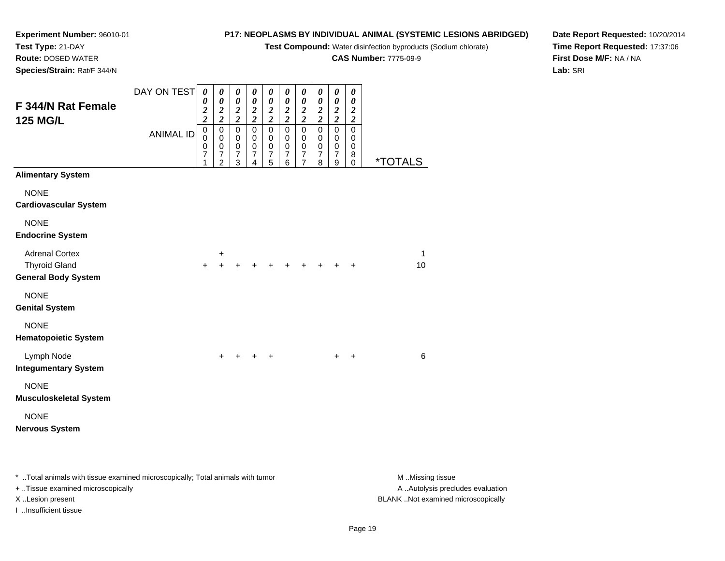**Test Compound:** Water disinfection byproducts (Sodium chlorate)

**CAS Number:** 7775-09-9

**Date Report Requested:** 10/20/2014**Time Report Requested:** 17:37:06**First Dose M/F:** NA / NA**Lab:** SRI

**Experiment Number:** 96010-01**Test Type:** 21-DAY **Route:** DOSED WATER**Species/Strain:** Rat/F 344/N

| F 344/N Rat Female<br><b>125 MG/L</b>                                       | DAY ON TEST      | 0<br>$\boldsymbol{\theta}$<br>$\boldsymbol{2}$<br>$\overline{\mathbf{c}}$ | 0<br>$\pmb{\theta}$<br>$\frac{2}{2}$                                        | 0<br>$\boldsymbol{\theta}$<br>$\frac{2}{2}$                | 0<br>$\boldsymbol{\theta}$<br>$\frac{2}{2}$                      | 0<br>$\boldsymbol{\theta}$<br>$\frac{2}{2}$                    | 0<br>$\boldsymbol{\theta}$<br>$\frac{2}{2}$              | 0<br>$\boldsymbol{\theta}$<br>$\frac{2}{2}$                       | 0<br>$\boldsymbol{\theta}$<br>$\frac{2}{2}$            | 0<br>$\boldsymbol{\theta}$<br>$\frac{2}{2}$            | 0<br>$\boldsymbol{\theta}$<br>$\boldsymbol{2}$<br>$\overline{2}$ |         |
|-----------------------------------------------------------------------------|------------------|---------------------------------------------------------------------------|-----------------------------------------------------------------------------|------------------------------------------------------------|------------------------------------------------------------------|----------------------------------------------------------------|----------------------------------------------------------|-------------------------------------------------------------------|--------------------------------------------------------|--------------------------------------------------------|------------------------------------------------------------------|---------|
|                                                                             | <b>ANIMAL ID</b> | $\pmb{0}$<br>$\mathbf 0$<br>$\boldsymbol{0}$<br>$\overline{7}$<br>1       | $\pmb{0}$<br>$\mathbf 0$<br>$\mathbf 0$<br>$\overline{7}$<br>$\overline{2}$ | $\pmb{0}$<br>$\pmb{0}$<br>$\pmb{0}$<br>$\overline{7}$<br>3 | $\mathbf 0$<br>$\mathbf 0$<br>$\mathbf 0$<br>$\overline{7}$<br>4 | $\mathbf 0$<br>$\mathbf 0$<br>$\pmb{0}$<br>$\overline{7}$<br>5 | $\pmb{0}$<br>$\,0\,$<br>$\pmb{0}$<br>$\overline{7}$<br>6 | $\pmb{0}$<br>0<br>$\pmb{0}$<br>$\boldsymbol{7}$<br>$\overline{7}$ | $\pmb{0}$<br>0<br>$\mathbf 0$<br>$\boldsymbol{7}$<br>8 | $\pmb{0}$<br>0<br>$\mathbf 0$<br>$\boldsymbol{7}$<br>9 | $\mathbf 0$<br>0<br>0<br>8<br>$\mathbf 0$                        | *TOTALS |
| <b>Alimentary System</b>                                                    |                  |                                                                           |                                                                             |                                                            |                                                                  |                                                                |                                                          |                                                                   |                                                        |                                                        |                                                                  |         |
| <b>NONE</b><br><b>Cardiovascular System</b>                                 |                  |                                                                           |                                                                             |                                                            |                                                                  |                                                                |                                                          |                                                                   |                                                        |                                                        |                                                                  |         |
| <b>NONE</b><br><b>Endocrine System</b>                                      |                  |                                                                           |                                                                             |                                                            |                                                                  |                                                                |                                                          |                                                                   |                                                        |                                                        |                                                                  |         |
| <b>Adrenal Cortex</b><br><b>Thyroid Gland</b><br><b>General Body System</b> |                  | $\ddot{}$                                                                 | +                                                                           |                                                            | $\ddot{}$                                                        | $+$                                                            | $+$                                                      | $\ddot{}$                                                         |                                                        |                                                        | $\ddot{}$                                                        | 1<br>10 |
| <b>NONE</b><br><b>Genital System</b>                                        |                  |                                                                           |                                                                             |                                                            |                                                                  |                                                                |                                                          |                                                                   |                                                        |                                                        |                                                                  |         |
| <b>NONE</b><br><b>Hematopoietic System</b>                                  |                  |                                                                           |                                                                             |                                                            |                                                                  |                                                                |                                                          |                                                                   |                                                        |                                                        |                                                                  |         |
| Lymph Node<br><b>Integumentary System</b>                                   |                  |                                                                           | $\ddot{}$                                                                   | $\ddot{}$                                                  | $+$                                                              | $\ddot{}$                                                      |                                                          |                                                                   |                                                        | $\ddot{}$                                              | $\ddot{}$                                                        | 6       |
| <b>NONE</b><br><b>Musculoskeletal System</b>                                |                  |                                                                           |                                                                             |                                                            |                                                                  |                                                                |                                                          |                                                                   |                                                        |                                                        |                                                                  |         |
| <b>NONE</b><br><b>Nervous System</b>                                        |                  |                                                                           |                                                                             |                                                            |                                                                  |                                                                |                                                          |                                                                   |                                                        |                                                        |                                                                  |         |

\* ..Total animals with tissue examined microscopically; Total animals with tumor **M** . Missing tissue M ..Missing tissue

+ ..Tissue examined microscopically

I ..Insufficient tissue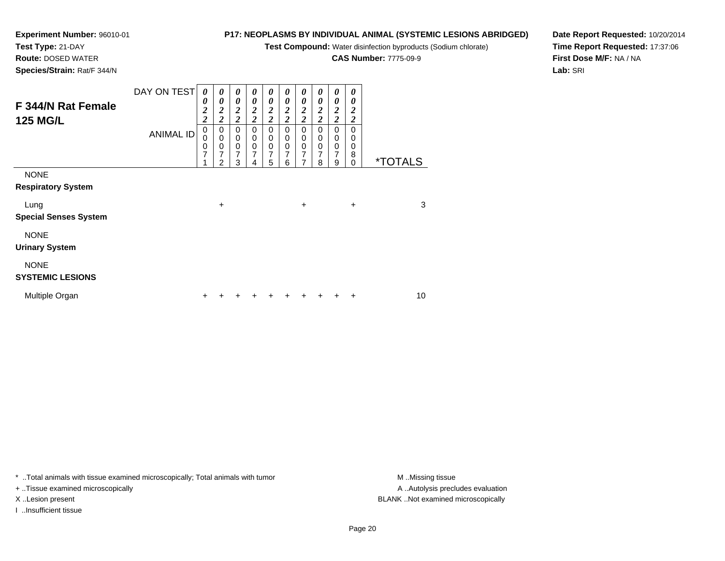**Test Compound:** Water disinfection byproducts (Sodium chlorate)

**CAS Number:** 7775-09-9

**Date Report Requested:** 10/20/2014**Time Report Requested:** 17:37:06**First Dose M/F:** NA / NA**Lab:** SRI

**Test Type:** 21-DAY **Route:** DOSED WATER**Species/Strain:** Rat/F 344/N

**Experiment Number:** 96010-01

|                                       | DAY ON TEST      | $\boldsymbol{\theta}$<br>0                | 0<br>0                                        | 0<br>0                                      | 0<br>0                               | 0<br>0                             | 0<br>0                             | 0<br>0                                      | 0<br>0                   | 0<br>0                                          | 0<br>0                               |                       |
|---------------------------------------|------------------|-------------------------------------------|-----------------------------------------------|---------------------------------------------|--------------------------------------|------------------------------------|------------------------------------|---------------------------------------------|--------------------------|-------------------------------------------------|--------------------------------------|-----------------------|
| F 344/N Rat Female<br><b>125 MG/L</b> |                  | $\overline{\mathbf{c}}$<br>$\overline{c}$ | $\boldsymbol{2}$<br>$\overline{2}$            | $\boldsymbol{2}$<br>$\overline{\mathbf{c}}$ | $\boldsymbol{2}$<br>$\boldsymbol{2}$ | $\boldsymbol{2}$<br>$\overline{c}$ | $\boldsymbol{2}$<br>$\overline{2}$ | $\boldsymbol{2}$<br>$\overline{\mathbf{c}}$ | 2<br>$\overline{2}$      | $\boldsymbol{2}$<br>$\overline{2}$              | $\boldsymbol{2}$<br>$\boldsymbol{2}$ |                       |
|                                       | <b>ANIMAL ID</b> | $\pmb{0}$<br>$\bar{0}$                    | $\pmb{0}$<br>$\overline{0}$                   | 0<br>$\pmb{0}$                              | 0<br>0                               | 0<br>0                             | 0<br>0                             | 0<br>0                                      | 0<br>0                   | 0<br>$\begin{smallmatrix}0\\0\end{smallmatrix}$ | 0<br>0                               |                       |
|                                       |                  | $\mathbf 0$<br>7<br>1                     | $\pmb{0}$<br>$\overline{7}$<br>$\overline{2}$ | $\mathbf 0$<br>$\overline{7}$<br>3          | $\mathbf 0$<br>$\overline{7}$<br>4   | 0<br>7<br>5                        | 0<br>$\overline{7}$<br>6           | $\mathbf 0$<br>$\overline{7}$<br>7          | 0<br>$\overline{7}$<br>8 | $\overline{7}$<br>9                             | 0<br>8<br>0                          | <i><b>*TOTALS</b></i> |
| <b>NONE</b>                           |                  |                                           |                                               |                                             |                                      |                                    |                                    |                                             |                          |                                                 |                                      |                       |
| <b>Respiratory System</b>             |                  |                                           |                                               |                                             |                                      |                                    |                                    |                                             |                          |                                                 |                                      |                       |
| Lung                                  |                  |                                           | $\ddot{}$                                     |                                             |                                      |                                    |                                    | +                                           |                          |                                                 | $\ddot{}$                            | 3                     |
| <b>Special Senses System</b>          |                  |                                           |                                               |                                             |                                      |                                    |                                    |                                             |                          |                                                 |                                      |                       |
| <b>NONE</b>                           |                  |                                           |                                               |                                             |                                      |                                    |                                    |                                             |                          |                                                 |                                      |                       |
| <b>Urinary System</b>                 |                  |                                           |                                               |                                             |                                      |                                    |                                    |                                             |                          |                                                 |                                      |                       |
| <b>NONE</b>                           |                  |                                           |                                               |                                             |                                      |                                    |                                    |                                             |                          |                                                 |                                      |                       |
| <b>SYSTEMIC LESIONS</b>               |                  |                                           |                                               |                                             |                                      |                                    |                                    |                                             |                          |                                                 |                                      |                       |
| Multiple Organ                        |                  | +                                         |                                               |                                             |                                      |                                    |                                    |                                             |                          |                                                 | ٠                                    | 10                    |

\* ..Total animals with tissue examined microscopically; Total animals with tumor **M** . Missing tissue M ..Missing tissue

+ ..Tissue examined microscopically

I ..Insufficient tissue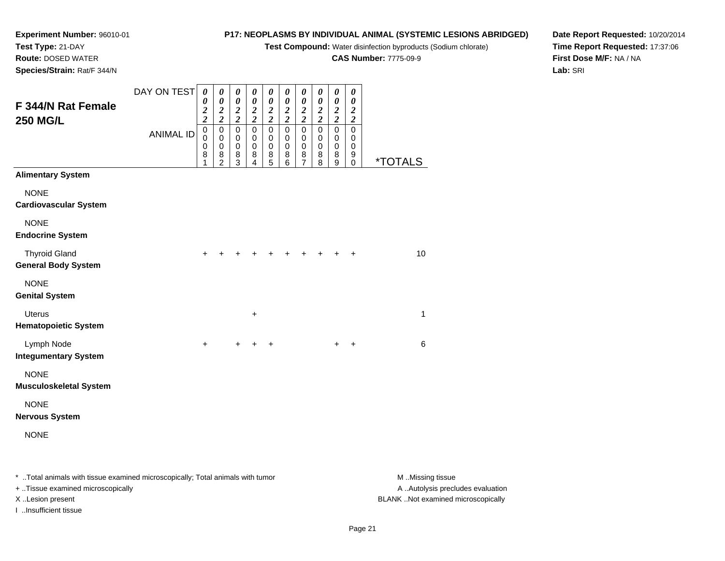**Test Compound:** Water disinfection byproducts (Sodium chlorate)

**CAS Number:** 7775-09-9

**Date Report Requested:** 10/20/2014**Time Report Requested:** 17:37:06**First Dose M/F:** NA / NA**Lab:** SRI

**Experiment Number:** 96010-01**Test Type:** 21-DAY **Route:** DOSED WATER**Species/Strain:** Rat/F 344/N

| F 344/N Rat Female<br><b>250 MG/L</b>              | DAY ON TEST      | $\boldsymbol{\theta}$<br>$\boldsymbol{\theta}$<br>$\boldsymbol{2}$ | $\pmb{\theta}$<br>$\boldsymbol{\theta}$<br>$\boldsymbol{2}$                | 0<br>$\pmb{\theta}$<br>$\boldsymbol{2}$                     | $\boldsymbol{\theta}$<br>$\boldsymbol{\theta}$<br>$\boldsymbol{2}$       | 0<br>$\pmb{\theta}$<br>$\boldsymbol{2}$                                 | 0<br>$\pmb{\theta}$<br>$\boldsymbol{2}$                                                     | 0<br>$\pmb{\theta}$<br>$\boldsymbol{2}$                                                    | 0<br>$\boldsymbol{\theta}$<br>$\boldsymbol{2}$                                                  | $\pmb{\theta}$<br>$\pmb{\theta}$<br>$\sqrt{2}$                              | $\boldsymbol{\theta}$<br>$\boldsymbol{\theta}$<br>$\frac{2}{2}$ |                       |
|----------------------------------------------------|------------------|--------------------------------------------------------------------|----------------------------------------------------------------------------|-------------------------------------------------------------|--------------------------------------------------------------------------|-------------------------------------------------------------------------|---------------------------------------------------------------------------------------------|--------------------------------------------------------------------------------------------|-------------------------------------------------------------------------------------------------|-----------------------------------------------------------------------------|-----------------------------------------------------------------|-----------------------|
|                                                    | <b>ANIMAL ID</b> | $\overline{\mathbf{c}}$<br>$\mathbf 0$<br>0<br>$\pmb{0}$<br>8<br>1 | $\boldsymbol{2}$<br>$\mathbf 0$<br>$\pmb{0}$<br>$\pmb{0}$<br>$\frac{8}{2}$ | $\boldsymbol{2}$<br>$\mathsf 0$<br>0<br>$\pmb{0}$<br>$^8_3$ | $\boldsymbol{2}$<br>$\overline{0}$<br>$\,0\,$<br>$\pmb{0}$<br>$_{4}^{8}$ | $\overline{\mathbf{c}}$<br>$\mathsf 0$<br>0<br>$\,0\,$<br>$\frac{8}{5}$ | $\overline{\mathbf{c}}$<br>$\overline{0}$<br>0<br>0<br>$\begin{matrix} 8 \\ 6 \end{matrix}$ | $\boldsymbol{2}$<br>$\mathsf 0$<br>0<br>$\pmb{0}$<br>$\begin{array}{c} 8 \\ 7 \end{array}$ | $\boldsymbol{2}$<br>$\mathbf 0$<br>0<br>$\pmb{0}$<br>$\begin{smallmatrix}8\\8\end{smallmatrix}$ | $\boldsymbol{2}$<br>$\overline{0}$<br>0<br>$\pmb{0}$<br>8<br>$\overline{9}$ | $\overline{0}$<br>0<br>$\pmb{0}$<br>9<br>$\mathbf 0$            | <i><b>*TOTALS</b></i> |
| <b>Alimentary System</b>                           |                  |                                                                    |                                                                            |                                                             |                                                                          |                                                                         |                                                                                             |                                                                                            |                                                                                                 |                                                                             |                                                                 |                       |
| <b>NONE</b><br><b>Cardiovascular System</b>        |                  |                                                                    |                                                                            |                                                             |                                                                          |                                                                         |                                                                                             |                                                                                            |                                                                                                 |                                                                             |                                                                 |                       |
| <b>NONE</b><br><b>Endocrine System</b>             |                  |                                                                    |                                                                            |                                                             |                                                                          |                                                                         |                                                                                             |                                                                                            |                                                                                                 |                                                                             |                                                                 |                       |
| <b>Thyroid Gland</b><br><b>General Body System</b> |                  | +                                                                  |                                                                            |                                                             |                                                                          |                                                                         |                                                                                             |                                                                                            |                                                                                                 | +                                                                           | $\ddot{}$                                                       | 10                    |
| <b>NONE</b><br><b>Genital System</b>               |                  |                                                                    |                                                                            |                                                             |                                                                          |                                                                         |                                                                                             |                                                                                            |                                                                                                 |                                                                             |                                                                 |                       |
| <b>Uterus</b><br><b>Hematopoietic System</b>       |                  |                                                                    |                                                                            |                                                             | +                                                                        |                                                                         |                                                                                             |                                                                                            |                                                                                                 |                                                                             |                                                                 | 1                     |
| Lymph Node<br><b>Integumentary System</b>          |                  | $\ddot{}$                                                          |                                                                            | $+$                                                         | $\ddot{}$                                                                | $\ddot{}$                                                               |                                                                                             |                                                                                            |                                                                                                 | $\ddot{}$                                                                   | $\ddot{}$                                                       | 6                     |
| <b>NONE</b><br><b>Musculoskeletal System</b>       |                  |                                                                    |                                                                            |                                                             |                                                                          |                                                                         |                                                                                             |                                                                                            |                                                                                                 |                                                                             |                                                                 |                       |
| <b>NONE</b><br><b>Nervous System</b>               |                  |                                                                    |                                                                            |                                                             |                                                                          |                                                                         |                                                                                             |                                                                                            |                                                                                                 |                                                                             |                                                                 |                       |
| <b>NONE</b>                                        |                  |                                                                    |                                                                            |                                                             |                                                                          |                                                                         |                                                                                             |                                                                                            |                                                                                                 |                                                                             |                                                                 |                       |
|                                                    |                  |                                                                    |                                                                            |                                                             |                                                                          |                                                                         |                                                                                             |                                                                                            |                                                                                                 |                                                                             |                                                                 |                       |

\* ..Total animals with tissue examined microscopically; Total animals with tumor **M** . Missing tissue M ..Missing tissue A ..Autolysis precludes evaluation + ..Tissue examined microscopically X ..Lesion present BLANK ..Not examined microscopicallyI ..Insufficient tissue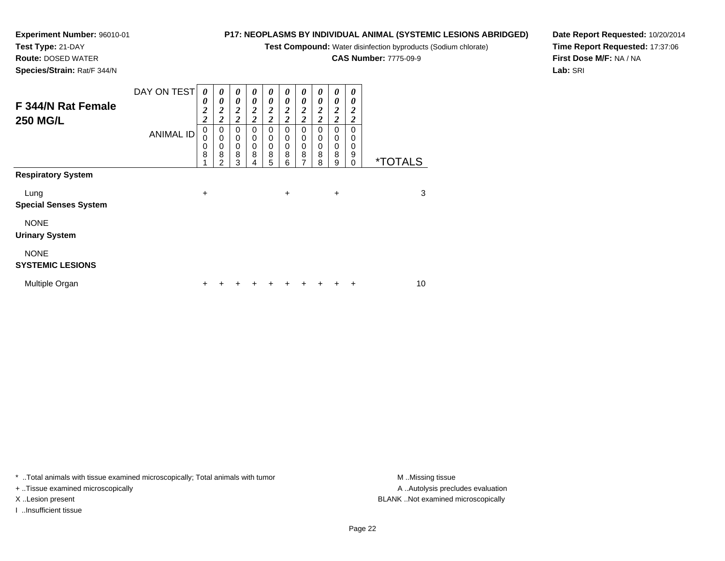**Test Compound:** Water disinfection byproducts (Sodium chlorate)

**CAS Number:** 7775-09-9

**Date Report Requested:** 10/20/2014**Time Report Requested:** 17:37:06**First Dose M/F:** NA / NA**Lab:** SRI

**Test Type:** 21-DAY**Route:** DOSED WATER

**Experiment Number:** 96010-01

**Species/Strain:** Rat/F 344/N

| F 344/N Rat Female<br><b>250 MG/L</b>  | DAY ON TEST<br><b>ANIMAL ID</b> | 0<br>0<br>$\boldsymbol{2}$<br>$\overline{c}$<br>0<br>0<br>0<br>8 | $\boldsymbol{\theta}$<br>0<br>$\boldsymbol{2}$<br>$\boldsymbol{2}$<br>0<br>$\mathbf 0$<br>0<br>8<br>2 | 0<br>$\theta$<br>$\boldsymbol{2}$<br>$\overline{2}$<br>$\mathbf 0$<br>$\mathbf 0$<br>$\mathbf 0$<br>8<br>3 | $\boldsymbol{\theta}$<br>0<br>2<br>$\overline{2}$<br>$\Omega$<br>$\mathbf 0$<br>0<br>8<br>4 | $\boldsymbol{\theta}$<br>0<br>$\boldsymbol{2}$<br>$\overline{2}$<br>$\mathbf 0$<br>0<br>0<br>8<br>5 | 0<br>0<br>2<br>$\overline{c}$<br>$\Omega$<br>0<br>0<br>8<br>6 | 0<br>0<br>$\boldsymbol{2}$<br>$\overline{2}$<br>$\Omega$<br>0<br>0<br>8<br>7 | 0<br>0<br>2<br>$\overline{2}$<br>0<br>0<br>0<br>8<br>8 | $\boldsymbol{\theta}$<br>$\boldsymbol{\theta}$<br>$\frac{2}{2}$<br>0<br>0<br>$\pmb{0}$<br>8<br>9 | 0<br>0<br>2<br>$\overline{c}$<br>0<br>0<br>0<br>9<br>$\Omega$ | <i><b>*TOTALS</b></i> |
|----------------------------------------|---------------------------------|------------------------------------------------------------------|-------------------------------------------------------------------------------------------------------|------------------------------------------------------------------------------------------------------------|---------------------------------------------------------------------------------------------|-----------------------------------------------------------------------------------------------------|---------------------------------------------------------------|------------------------------------------------------------------------------|--------------------------------------------------------|--------------------------------------------------------------------------------------------------|---------------------------------------------------------------|-----------------------|
| <b>Respiratory System</b>              |                                 |                                                                  |                                                                                                       |                                                                                                            |                                                                                             |                                                                                                     |                                                               |                                                                              |                                                        |                                                                                                  |                                                               |                       |
| Lung<br><b>Special Senses System</b>   |                                 | $\ddot{}$                                                        |                                                                                                       |                                                                                                            |                                                                                             |                                                                                                     | $\pm$                                                         |                                                                              |                                                        | $\ddot{}$                                                                                        |                                                               | 3                     |
| <b>NONE</b><br><b>Urinary System</b>   |                                 |                                                                  |                                                                                                       |                                                                                                            |                                                                                             |                                                                                                     |                                                               |                                                                              |                                                        |                                                                                                  |                                                               |                       |
| <b>NONE</b><br><b>SYSTEMIC LESIONS</b> |                                 |                                                                  |                                                                                                       |                                                                                                            |                                                                                             |                                                                                                     |                                                               |                                                                              |                                                        |                                                                                                  |                                                               |                       |
| Multiple Organ                         |                                 | ┿                                                                |                                                                                                       |                                                                                                            |                                                                                             |                                                                                                     |                                                               |                                                                              |                                                        |                                                                                                  | +                                                             | 10                    |

\* ..Total animals with tissue examined microscopically; Total animals with tumor **M** . Missing tissue M ..Missing tissue

+ ..Tissue examined microscopically

I ..Insufficient tissue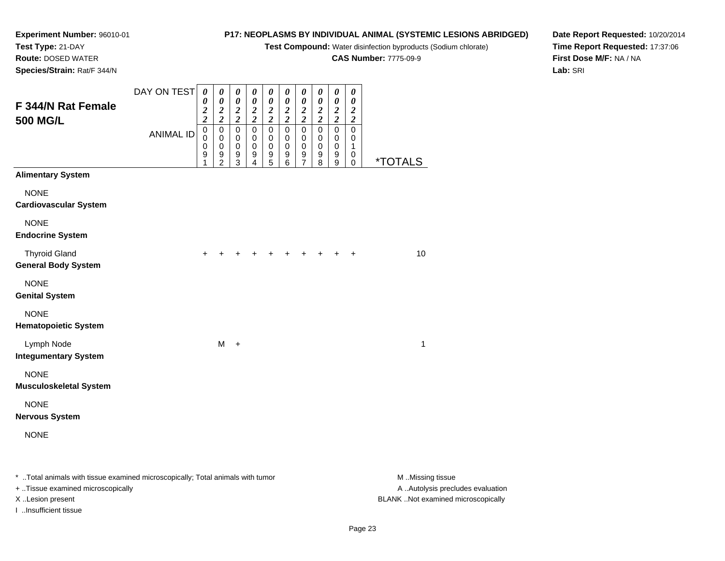**Test Compound:** Water disinfection byproducts (Sodium chlorate)

**CAS Number:** 7775-09-9

**Date Report Requested:** 10/20/2014**Time Report Requested:** 17:37:06**First Dose M/F:** NA / NA**Lab:** SRI

**Experiment Number:** 96010-01**Test Type:** 21-DAY **Route:** DOSED WATER**Species/Strain:** Rat/F 344/N

| F 344/N Rat Female<br><b>500 MG/L</b>                                          | DAY ON TEST      | 0<br>0<br>$\boldsymbol{2}$<br>$\overline{\mathbf{c}}$ | 0<br>$\pmb{\theta}$<br>$\frac{2}{2}$                                        | 0<br>$\pmb{\theta}$<br>$\frac{2}{2}$                              | 0<br>$\boldsymbol{\theta}$<br>$\frac{2}{2}$        | 0<br>$\boldsymbol{\theta}$<br>$\frac{2}{2}$                 | 0<br>$\pmb{\theta}$<br>$\boldsymbol{2}$<br>$\boldsymbol{2}$ | 0<br>$\pmb{\theta}$<br>$\frac{2}{2}$              | 0<br>$\pmb{\theta}$<br>$\frac{2}{2}$ | 0<br>$\pmb{\theta}$<br>$\frac{2}{2}$                                   | $\boldsymbol{\theta}$<br>$\boldsymbol{\theta}$<br>$\boldsymbol{2}$<br>$\boldsymbol{2}$ |                       |
|--------------------------------------------------------------------------------|------------------|-------------------------------------------------------|-----------------------------------------------------------------------------|-------------------------------------------------------------------|----------------------------------------------------|-------------------------------------------------------------|-------------------------------------------------------------|---------------------------------------------------|--------------------------------------|------------------------------------------------------------------------|----------------------------------------------------------------------------------------|-----------------------|
|                                                                                | <b>ANIMAL ID</b> | $\mathbf 0$<br>0<br>0<br>$\boldsymbol{9}$<br>1        | $\mathbf 0$<br>$\pmb{0}$<br>$\pmb{0}$<br>$\boldsymbol{9}$<br>$\overline{c}$ | $\pmb{0}$<br>$\pmb{0}$<br>0<br>$\boldsymbol{9}$<br>$\overline{3}$ | $\pmb{0}$<br>$\,0\,$<br>0<br>$\boldsymbol{9}$<br>4 | $\mathbf 0$<br>0<br>0<br>$\boldsymbol{9}$<br>$\overline{5}$ | $\mathbf 0$<br>0<br>0<br>9<br>6                             | 0<br>0<br>0<br>$\boldsymbol{9}$<br>$\overline{7}$ | $\mathbf 0$<br>0<br>0<br>9<br>8      | $\mathbf 0$<br>$\,0\,$<br>$\pmb{0}$<br>$\mathsf g$<br>$\boldsymbol{9}$ | $\mathbf 0$<br>0<br>$\mathbf{1}$<br>0<br>$\pmb{0}$                                     | <i><b>*TOTALS</b></i> |
| <b>Alimentary System</b>                                                       |                  |                                                       |                                                                             |                                                                   |                                                    |                                                             |                                                             |                                                   |                                      |                                                                        |                                                                                        |                       |
| <b>NONE</b><br><b>Cardiovascular System</b>                                    |                  |                                                       |                                                                             |                                                                   |                                                    |                                                             |                                                             |                                                   |                                      |                                                                        |                                                                                        |                       |
| <b>NONE</b><br><b>Endocrine System</b>                                         |                  |                                                       |                                                                             |                                                                   |                                                    |                                                             |                                                             |                                                   |                                      |                                                                        |                                                                                        |                       |
| <b>Thyroid Gland</b><br><b>General Body System</b>                             |                  | $\ddot{}$                                             |                                                                             |                                                                   |                                                    |                                                             |                                                             |                                                   |                                      |                                                                        | +                                                                                      | 10                    |
| <b>NONE</b><br><b>Genital System</b>                                           |                  |                                                       |                                                                             |                                                                   |                                                    |                                                             |                                                             |                                                   |                                      |                                                                        |                                                                                        |                       |
| <b>NONE</b><br><b>Hematopoietic System</b>                                     |                  |                                                       |                                                                             |                                                                   |                                                    |                                                             |                                                             |                                                   |                                      |                                                                        |                                                                                        |                       |
| Lymph Node<br><b>Integumentary System</b>                                      |                  |                                                       | М                                                                           | $\ddot{}$                                                         |                                                    |                                                             |                                                             |                                                   |                                      |                                                                        |                                                                                        | 1                     |
| <b>NONE</b><br><b>Musculoskeletal System</b>                                   |                  |                                                       |                                                                             |                                                                   |                                                    |                                                             |                                                             |                                                   |                                      |                                                                        |                                                                                        |                       |
| <b>NONE</b><br><b>Nervous System</b>                                           |                  |                                                       |                                                                             |                                                                   |                                                    |                                                             |                                                             |                                                   |                                      |                                                                        |                                                                                        |                       |
| <b>NONE</b>                                                                    |                  |                                                       |                                                                             |                                                                   |                                                    |                                                             |                                                             |                                                   |                                      |                                                                        |                                                                                        |                       |
| * Total animals with tissue examined microscopically; Total animals with tumor |                  |                                                       |                                                                             |                                                                   |                                                    |                                                             |                                                             |                                                   |                                      |                                                                        |                                                                                        | M Missing tiss        |

 $^*$  ..Total animals with tissue examined microscopically; Total animals with tumor  $\quad$   $\quad$   $\quad$  . Missing tissue  $\quad$   $\quad$   $\quad$   $\quad$   $\quad$  .Missing tissue A ..Autolysis precludes evaluation + ..Tissue examined microscopically X ..Lesion present BLANK ..Not examined microscopicallyI ..Insufficient tissue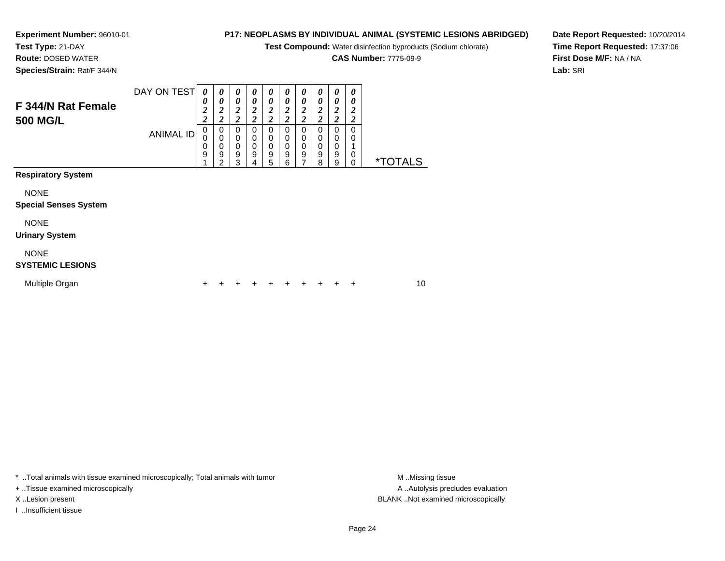## **Experiment Number:** 96010-01

**Test Type:** 21-DAY

**Route:** DOSED WATER

**Species/Strain:** Rat/F 344/N

## **P17: NEOPLASMS BY INDIVIDUAL ANIMAL (SYSTEMIC LESIONS ABRIDGED)**

**Test Compound:** Water disinfection byproducts (Sodium chlorate)

**CAS Number:** 7775-09-9

**Date Report Requested:** 10/20/2014**Time Report Requested:** 17:37:06**First Dose M/F:** NA / NA**Lab:** SRI

|                                             | DAY ON TEST      | 0                                                | 0                                       | 0                                       | 0                                                 | 0                                       | $\boldsymbol{\theta}$                                       | 0                                 | 0                                                | 0                                                | 0                                                |                       |
|---------------------------------------------|------------------|--------------------------------------------------|-----------------------------------------|-----------------------------------------|---------------------------------------------------|-----------------------------------------|-------------------------------------------------------------|-----------------------------------|--------------------------------------------------|--------------------------------------------------|--------------------------------------------------|-----------------------|
| F 344/N Rat Female<br><b>500 MG/L</b>       |                  | 0<br>$\boldsymbol{2}$<br>$\overline{\mathbf{c}}$ | 0<br>$\boldsymbol{2}$<br>$\overline{c}$ | 0<br>$\boldsymbol{2}$<br>$\overline{c}$ | 0<br>$\boldsymbol{2}$<br>$\overline{\mathbf{c}}$  | 0<br>$\boldsymbol{2}$<br>$\overline{c}$ | $\boldsymbol{\theta}$<br>$\boldsymbol{2}$<br>$\overline{2}$ | 0<br>2<br>$\overline{\mathbf{c}}$ | 0<br>$\boldsymbol{2}$<br>$\overline{\mathbf{c}}$ | 0<br>$\boldsymbol{2}$<br>$\overline{\mathbf{c}}$ | 0<br>$\boldsymbol{2}$<br>$\overline{\mathbf{c}}$ |                       |
|                                             | <b>ANIMAL ID</b> | 0<br>0<br>0<br>9                                 | 0<br>0<br>0<br>9<br>2                   | 0<br>0<br>$\mathbf 0$<br>9<br>3         | $\mathbf 0$<br>$\pmb{0}$<br>$\mathbf 0$<br>9<br>4 | 0<br>0<br>$\mathbf 0$<br>9<br>5         | $\mathbf 0$<br>0<br>$\pmb{0}$<br>$\boldsymbol{9}$<br>6      | 0<br>0<br>0<br>9                  | 0<br>0<br>0<br>9<br>8                            | 0<br>0<br>0<br>9<br>9                            | 0<br>0<br>1<br>0<br>$\mathbf 0$                  | <i><b>*TOTALS</b></i> |
| <b>Respiratory System</b>                   |                  |                                                  |                                         |                                         |                                                   |                                         |                                                             |                                   |                                                  |                                                  |                                                  |                       |
| <b>NONE</b><br><b>Special Senses System</b> |                  |                                                  |                                         |                                         |                                                   |                                         |                                                             |                                   |                                                  |                                                  |                                                  |                       |
| <b>NONE</b><br><b>Urinary System</b>        |                  |                                                  |                                         |                                         |                                                   |                                         |                                                             |                                   |                                                  |                                                  |                                                  |                       |
| <b>NONE</b><br><b>SYSTEMIC LESIONS</b>      |                  |                                                  |                                         |                                         |                                                   |                                         |                                                             |                                   |                                                  |                                                  |                                                  |                       |
| Multiple Organ                              |                  | ٠                                                |                                         |                                         |                                                   |                                         |                                                             |                                   |                                                  |                                                  | +                                                | 10                    |

\* ..Total animals with tissue examined microscopically; Total animals with tumor **M** . Missing tissue M ..Missing tissue

+ ..Tissue examined microscopically

I ..Insufficient tissue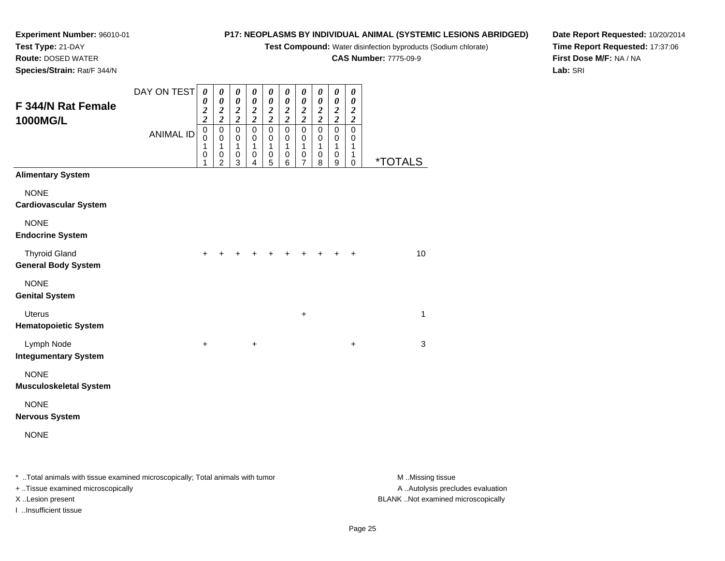**Test Compound:** Water disinfection byproducts (Sodium chlorate)

**CAS Number:** 7775-09-9

**Date Report Requested:** 10/20/2014**Time Report Requested:** 17:37:06**First Dose M/F:** NA / NA**Lab:** SRI

**Experiment Number:** 96010-01**Test Type:** 21-DAY **Route:** DOSED WATER**Species/Strain:** Rat/F 344/N

| F 344/N Rat Female<br>1000MG/L                     | DAY ON TEST      | $\boldsymbol{\theta}$<br>0<br>$\boldsymbol{2}$<br>$\overline{\mathbf{c}}$ | 0<br>$\boldsymbol{\theta}$<br>$\frac{2}{2}$                  | 0<br>$\pmb{\theta}$<br>$\frac{2}{2}$    | 0<br>0<br>$\frac{2}{2}$                 | 0<br>$\boldsymbol{\theta}$<br>$\frac{2}{2}$ | 0<br>$\boldsymbol{\theta}$<br>$\frac{2}{2}$ | 0<br>$\boldsymbol{\theta}$<br>$\frac{2}{2}$ | 0<br>$\boldsymbol{\theta}$<br>$\frac{2}{2}$ | $\pmb{\theta}$<br>$\pmb{\theta}$<br>$\frac{2}{2}$ | 0<br>$\boldsymbol{\theta}$<br>$\frac{2}{2}$ |                       |  |
|----------------------------------------------------|------------------|---------------------------------------------------------------------------|--------------------------------------------------------------|-----------------------------------------|-----------------------------------------|---------------------------------------------|---------------------------------------------|---------------------------------------------|---------------------------------------------|---------------------------------------------------|---------------------------------------------|-----------------------|--|
|                                                    | <b>ANIMAL ID</b> | $\pmb{0}$<br>$\mathbf 0$<br>1<br>0<br>1                                   | $\pmb{0}$<br>$\pmb{0}$<br>1<br>$\mathbf 0$<br>$\overline{2}$ | $\pmb{0}$<br>$\mathbf 0$<br>1<br>0<br>3 | $\pmb{0}$<br>$\mathbf 0$<br>1<br>0<br>4 | $\mathbf 0$<br>$\mathbf 0$<br>1<br>0<br>5   | $\mathsf 0$<br>0<br>1<br>0<br>6             | $\pmb{0}$<br>0<br>1<br>0<br>7               | $\pmb{0}$<br>$\mathbf 0$<br>1<br>0<br>8     | $\pmb{0}$<br>0<br>1<br>0<br>9                     | $\mathbf 0$<br>$\,0\,$<br>1<br>1<br>0       | <i><b>*TOTALS</b></i> |  |
| <b>Alimentary System</b>                           |                  |                                                                           |                                                              |                                         |                                         |                                             |                                             |                                             |                                             |                                                   |                                             |                       |  |
| <b>NONE</b><br>Cardiovascular System               |                  |                                                                           |                                                              |                                         |                                         |                                             |                                             |                                             |                                             |                                                   |                                             |                       |  |
| <b>NONE</b><br><b>Endocrine System</b>             |                  |                                                                           |                                                              |                                         |                                         |                                             |                                             |                                             |                                             |                                                   |                                             |                       |  |
| <b>Thyroid Gland</b><br><b>General Body System</b> |                  | +                                                                         |                                                              |                                         |                                         |                                             |                                             |                                             |                                             |                                                   | $\ddot{}$                                   | 10                    |  |
| <b>NONE</b><br><b>Genital System</b>               |                  |                                                                           |                                                              |                                         |                                         |                                             |                                             |                                             |                                             |                                                   |                                             |                       |  |
| <b>Uterus</b><br><b>Hematopoietic System</b>       |                  |                                                                           |                                                              |                                         |                                         |                                             |                                             | +                                           |                                             |                                                   |                                             | 1                     |  |
| Lymph Node<br><b>Integumentary System</b>          |                  | $\ddot{}$                                                                 |                                                              |                                         | $\ddot{}$                               |                                             |                                             |                                             |                                             |                                                   | $\ddot{}$                                   | 3                     |  |
| <b>NONE</b><br>Musculoskeletal System              |                  |                                                                           |                                                              |                                         |                                         |                                             |                                             |                                             |                                             |                                                   |                                             |                       |  |
| <b>NONE</b><br>Nervous System                      |                  |                                                                           |                                                              |                                         |                                         |                                             |                                             |                                             |                                             |                                                   |                                             |                       |  |
| <b>NONE</b>                                        |                  |                                                                           |                                                              |                                         |                                         |                                             |                                             |                                             |                                             |                                                   |                                             |                       |  |

\* ..Total animals with tissue examined microscopically; Total animals with tumor **M** . Missing tissue M ..Missing tissue A ..Autolysis precludes evaluation + ..Tissue examined microscopically X ..Lesion present BLANK ..Not examined microscopicallyI ..Insufficient tissue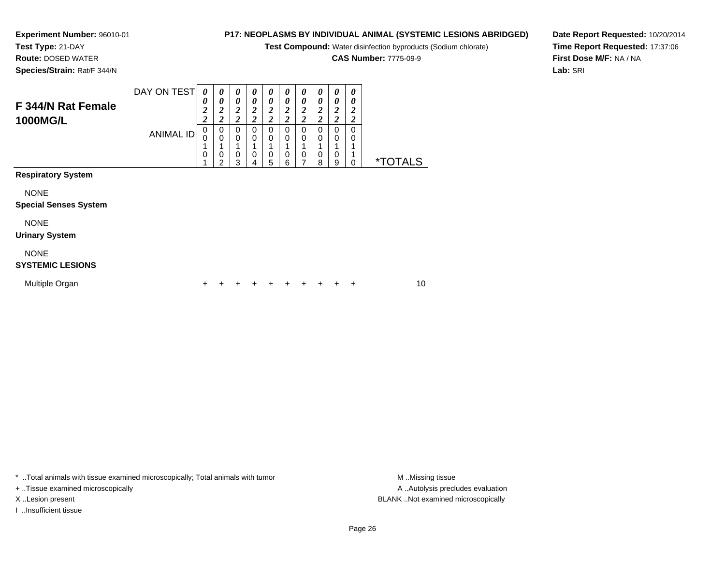## **Experiment Number:** 96010-01

**Test Type:** 21-DAY**Route:** DOSED WATER

**Species/Strain:** Rat/F 344/N

## **P17: NEOPLASMS BY INDIVIDUAL ANIMAL (SYSTEMIC LESIONS ABRIDGED)**

**Test Compound:** Water disinfection byproducts (Sodium chlorate)

**CAS Number:** 7775-09-9

**Date Report Requested:** 10/20/2014**Time Report Requested:** 17:37:06**First Dose M/F:** NA / NA**Lab:** SRI

| F 344/N Rat Female<br>1000MG/L              | DAY ON TEST<br><b>ANIMAL ID</b> | 0<br>0<br>$\boldsymbol{2}$<br>$\overline{c}$<br>0<br>0<br>0 | 0<br>0<br>$\frac{2}{2}$<br>0<br>$\mathbf 0$<br>0<br>$\mathfrak{p}$ | 0<br>0<br>$\boldsymbol{2}$<br>$\overline{2}$<br>$\Omega$<br>$\mathbf 0$<br>0<br>3 | 0<br>0<br>$\boldsymbol{2}$<br>$\overline{c}$<br>0<br>0<br>0<br>4 | $\boldsymbol{\theta}$<br>0<br>$\boldsymbol{2}$<br>$\overline{\mathbf{c}}$<br>0<br>0<br>$\mathbf 0$<br>5 | 0<br>0<br>$\overline{\mathbf{c}}$<br>$\overline{\mathbf{c}}$<br>0<br>0<br>0<br>6 | 0<br>$\boldsymbol{\theta}$<br>$\boldsymbol{2}$<br>$\overline{c}$<br>$\mathbf 0$<br>$\mathbf 0$<br>1<br>$\mathbf 0$<br>7 | 0<br>0<br>2<br>$\boldsymbol{2}$<br>0<br>0<br>0<br>8 | 0<br>0<br>$\frac{2}{2}$<br>0<br>0<br>0<br>9 | 0<br>0<br>2<br>2<br>$\Omega$<br>0<br>0 | <i><b>*TOTALS</b></i> |  |
|---------------------------------------------|---------------------------------|-------------------------------------------------------------|--------------------------------------------------------------------|-----------------------------------------------------------------------------------|------------------------------------------------------------------|---------------------------------------------------------------------------------------------------------|----------------------------------------------------------------------------------|-------------------------------------------------------------------------------------------------------------------------|-----------------------------------------------------|---------------------------------------------|----------------------------------------|-----------------------|--|
| <b>Respiratory System</b>                   |                                 |                                                             |                                                                    |                                                                                   |                                                                  |                                                                                                         |                                                                                  |                                                                                                                         |                                                     |                                             |                                        |                       |  |
| <b>NONE</b><br><b>Special Senses System</b> |                                 |                                                             |                                                                    |                                                                                   |                                                                  |                                                                                                         |                                                                                  |                                                                                                                         |                                                     |                                             |                                        |                       |  |
| <b>NONE</b><br><b>Urinary System</b>        |                                 |                                                             |                                                                    |                                                                                   |                                                                  |                                                                                                         |                                                                                  |                                                                                                                         |                                                     |                                             |                                        |                       |  |
| <b>NONE</b><br><b>SYSTEMIC LESIONS</b>      |                                 |                                                             |                                                                    |                                                                                   |                                                                  |                                                                                                         |                                                                                  |                                                                                                                         |                                                     |                                             |                                        |                       |  |
| Multiple Organ                              |                                 | ٠                                                           |                                                                    |                                                                                   |                                                                  | ٠                                                                                                       |                                                                                  |                                                                                                                         |                                                     |                                             | ٠                                      | 10                    |  |

\* ..Total animals with tissue examined microscopically; Total animals with tumor **M** . Missing tissue M ..Missing tissue

+ ..Tissue examined microscopically

I ..Insufficient tissue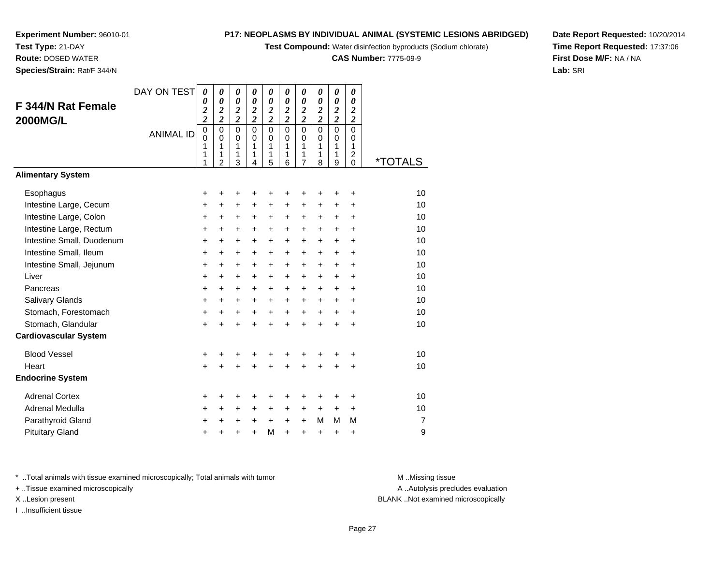**Test Compound:** Water disinfection byproducts (Sodium chlorate)

**CAS Number:** 7775-09-9

**Date Report Requested:** 10/20/2014**Time Report Requested:** 17:37:06**First Dose M/F:** NA / NA**Lab:** SRI

**Experiment Number:** 96010-01**Test Type:** 21-DAY **Route:** DOSED WATER**Species/Strain:** Rat/F 344/N

| F 344/N Rat Female<br><b>2000MG/L</b><br><b>Alimentary System</b> | DAY ON TEST<br><b>ANIMAL ID</b> | $\theta$<br>0<br>$\overline{\mathbf{c}}$<br>$\overline{c}$<br>$\pmb{0}$<br>$\overline{0}$<br>1<br>1<br>1 | $\boldsymbol{\theta}$<br>0<br>$\boldsymbol{2}$<br>$\overline{2}$<br>$\mathbf 0$<br>$\Omega$<br>1<br>1<br>$\overline{2}$ | $\boldsymbol{\theta}$<br>0<br>$\frac{2}{2}$<br>$\mathbf 0$<br>$\Omega$<br>1<br>1<br>3 | $\boldsymbol{\theta}$<br>$\boldsymbol{\theta}$<br>$\frac{2}{2}$<br>$\mathbf 0$<br>$\Omega$<br>1<br>1<br>4 | 0<br>0<br>$\frac{2}{2}$<br>$\mathbf 0$<br>0<br>1<br>1<br>5 | $\boldsymbol{\theta}$<br>$\boldsymbol{\theta}$<br>$\frac{2}{2}$<br>$\mathbf 0$<br>0<br>1<br>1<br>6 | 0<br>0<br>$\frac{2}{2}$<br>$\mathbf 0$<br>0<br>1<br>1<br>7 | 0<br>0<br>$\frac{2}{2}$<br>$\mathbf 0$<br>$\mathbf 0$<br>1<br>1<br>8 | 0<br>0<br>$\frac{2}{2}$<br>$\Omega$<br>$\Omega$<br>1<br>1<br>9 | $\boldsymbol{\theta}$<br>$\boldsymbol{\theta}$<br>$\boldsymbol{2}$<br>$\overline{2}$<br>$\Omega$<br>$\Omega$<br>1<br>$\overline{c}$<br>$\mathbf 0$ | <i><b>*TOTALS</b></i> |
|-------------------------------------------------------------------|---------------------------------|----------------------------------------------------------------------------------------------------------|-------------------------------------------------------------------------------------------------------------------------|---------------------------------------------------------------------------------------|-----------------------------------------------------------------------------------------------------------|------------------------------------------------------------|----------------------------------------------------------------------------------------------------|------------------------------------------------------------|----------------------------------------------------------------------|----------------------------------------------------------------|----------------------------------------------------------------------------------------------------------------------------------------------------|-----------------------|
|                                                                   |                                 |                                                                                                          |                                                                                                                         |                                                                                       |                                                                                                           |                                                            |                                                                                                    |                                                            |                                                                      |                                                                |                                                                                                                                                    |                       |
| Esophagus                                                         |                                 | +                                                                                                        | +                                                                                                                       | +                                                                                     | +                                                                                                         | +                                                          | +                                                                                                  | +                                                          | +                                                                    | +                                                              | $\ddot{}$                                                                                                                                          | 10                    |
| Intestine Large, Cecum                                            |                                 | +                                                                                                        | +                                                                                                                       | +                                                                                     | $\ddot{}$                                                                                                 | +                                                          | +                                                                                                  | +                                                          | +                                                                    | +                                                              | +                                                                                                                                                  | 10                    |
| Intestine Large, Colon                                            |                                 | $\ddot{}$                                                                                                | $\ddot{}$                                                                                                               | $\ddot{}$                                                                             | $\ddot{}$                                                                                                 | +                                                          | +                                                                                                  | $\ddot{}$                                                  | +                                                                    | +                                                              | $\ddot{}$                                                                                                                                          | 10                    |
| Intestine Large, Rectum                                           |                                 | +                                                                                                        | +                                                                                                                       | +                                                                                     | $\ddot{}$                                                                                                 | $\ddot{}$                                                  | +                                                                                                  | $\ddot{}$                                                  | +                                                                    | +                                                              | $\ddot{}$                                                                                                                                          | 10                    |
| Intestine Small, Duodenum                                         |                                 | $\ddot{}$                                                                                                | $\ddot{}$                                                                                                               | +                                                                                     | $\ddot{}$                                                                                                 | +                                                          | $\ddot{}$                                                                                          | $\ddot{}$                                                  | $\ddot{}$                                                            | $\ddot{}$                                                      | $\ddot{}$                                                                                                                                          | 10                    |
| Intestine Small, Ileum                                            |                                 | +                                                                                                        | $\ddot{}$                                                                                                               | +                                                                                     | $\ddot{}$                                                                                                 | +                                                          | +                                                                                                  | +                                                          | +                                                                    | +                                                              | +                                                                                                                                                  | 10                    |
| Intestine Small, Jejunum                                          |                                 | $\ddot{}$                                                                                                | $\ddot{}$                                                                                                               | $\ddot{}$                                                                             | $\ddot{}$                                                                                                 | +                                                          | $\ddot{}$                                                                                          | $\ddot{}$                                                  | $\ddot{}$                                                            | $\ddot{}$                                                      | $\ddot{}$                                                                                                                                          | 10                    |
| Liver                                                             |                                 | $\ddot{}$                                                                                                | $\ddot{}$                                                                                                               | $\ddot{}$                                                                             | $+$                                                                                                       | $\ddot{}$                                                  | $\ddot{}$                                                                                          | $\ddot{}$                                                  | $\ddot{}$                                                            | $+$                                                            | $\ddot{}$                                                                                                                                          | 10                    |
| Pancreas                                                          |                                 | $\ddot{}$                                                                                                | $\ddot{}$                                                                                                               | $\ddot{}$                                                                             | $+$                                                                                                       | +                                                          | $\ddot{}$                                                                                          | $\ddot{}$                                                  | $\ddot{}$                                                            | $\ddot{}$                                                      | $\ddot{}$                                                                                                                                          | 10                    |
| Salivary Glands                                                   |                                 | $\ddot{}$                                                                                                | $\ddot{}$                                                                                                               | +                                                                                     | $\ddot{}$                                                                                                 | +                                                          | $\ddot{}$                                                                                          | +                                                          | $\ddot{}$                                                            | +                                                              | $\ddot{}$                                                                                                                                          | 10                    |
| Stomach, Forestomach                                              |                                 | $\ddot{}$                                                                                                | $\ddot{}$                                                                                                               | $\ddot{}$                                                                             | $\ddot{}$                                                                                                 | $\ddot{}$                                                  | $\ddot{}$                                                                                          | $\ddot{}$                                                  | $\ddot{}$                                                            | $\ddot{}$                                                      | $\ddot{}$                                                                                                                                          | 10                    |
| Stomach, Glandular                                                |                                 | +                                                                                                        | ÷                                                                                                                       | $\ddot{}$                                                                             | $\ddot{}$                                                                                                 | $\ddot{}$                                                  | $\ddot{}$                                                                                          | $\ddot{}$                                                  | $\ddot{}$                                                            | $\ddot{}$                                                      | $\ddot{}$                                                                                                                                          | 10                    |
| <b>Cardiovascular System</b>                                      |                                 |                                                                                                          |                                                                                                                         |                                                                                       |                                                                                                           |                                                            |                                                                                                    |                                                            |                                                                      |                                                                |                                                                                                                                                    |                       |
| <b>Blood Vessel</b>                                               |                                 | +                                                                                                        | +                                                                                                                       | +                                                                                     |                                                                                                           | +                                                          | +                                                                                                  | +                                                          | +                                                                    | +                                                              | +                                                                                                                                                  | 10                    |
| Heart                                                             |                                 | $\ddot{}$                                                                                                |                                                                                                                         | +                                                                                     |                                                                                                           | $\ddot{}$                                                  | $\ddot{}$                                                                                          | +                                                          | $\ddot{}$                                                            | $\ddot{}$                                                      | +                                                                                                                                                  | 10                    |
| <b>Endocrine System</b>                                           |                                 |                                                                                                          |                                                                                                                         |                                                                                       |                                                                                                           |                                                            |                                                                                                    |                                                            |                                                                      |                                                                |                                                                                                                                                    |                       |
| <b>Adrenal Cortex</b>                                             |                                 | +                                                                                                        | +                                                                                                                       | +                                                                                     | +                                                                                                         | +                                                          | +                                                                                                  | +                                                          | +                                                                    | +                                                              | +                                                                                                                                                  | 10                    |
| Adrenal Medulla                                                   |                                 | +                                                                                                        | +                                                                                                                       | +                                                                                     | $\ddot{}$                                                                                                 | $\ddot{}$                                                  | +                                                                                                  | +                                                          | $\ddot{}$                                                            | $\ddot{}$                                                      | $\ddot{}$                                                                                                                                          | 10                    |
| Parathyroid Gland                                                 |                                 | +                                                                                                        | +                                                                                                                       | +                                                                                     | +                                                                                                         | $\ddot{}$                                                  | +                                                                                                  | +                                                          | M                                                                    | M                                                              | M                                                                                                                                                  | 7                     |
| <b>Pituitary Gland</b>                                            |                                 | +                                                                                                        | +                                                                                                                       | +                                                                                     | $\ddot{}$                                                                                                 | M                                                          | +                                                                                                  | +                                                          | +                                                                    | +                                                              | +                                                                                                                                                  | 9                     |

\* ..Total animals with tissue examined microscopically; Total animals with tumor **M** . Missing tissue M ..Missing tissue

+ ..Tissue examined microscopically

I ..Insufficient tissue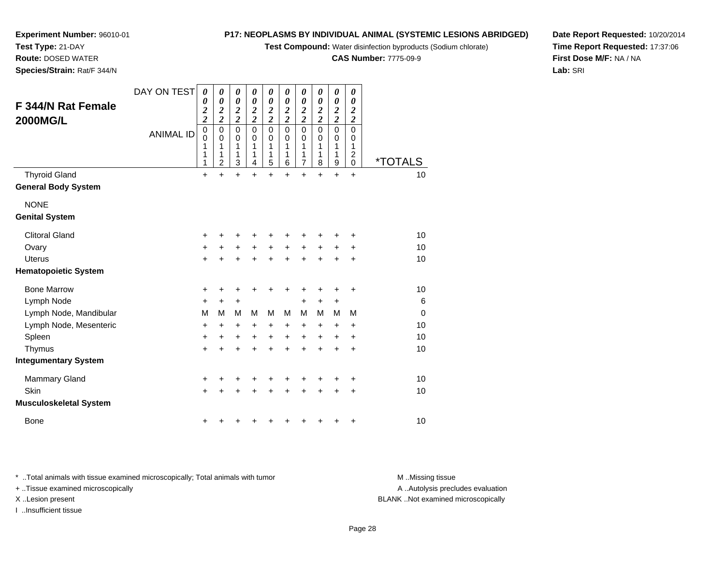**Test Compound:** Water disinfection byproducts (Sodium chlorate)

**CAS Number:** 7775-09-9

**Date Report Requested:** 10/20/2014**Time Report Requested:** 17:37:06**First Dose M/F:** NA / NA**Lab:** SRI

| <b>F344/N Rat Female</b><br><b>2000MG/L</b> | DAY ON TEST<br><b>ANIMAL ID</b> | $\boldsymbol{\theta}$<br>0<br>$\overline{\mathbf{c}}$<br>$\overline{\mathbf{c}}$<br>0<br>$\mathbf 0$<br>1<br>1<br>1 | 0<br>0<br>$\frac{2}{2}$<br>$\mathbf 0$<br>0<br>1<br>1<br>$\overline{c}$ | $\boldsymbol{\theta}$<br>$\boldsymbol{\theta}$<br>$\frac{2}{2}$<br>$\mathbf 0$<br>0<br>1<br>1<br>$\mathbf{3}$ | 0<br>$\boldsymbol{\theta}$<br>$\frac{2}{2}$<br>$\Omega$<br>0<br>1<br>1<br>$\overline{4}$ | 0<br>$\pmb{\theta}$<br>$\frac{2}{2}$<br>$\overline{0}$<br>0<br>$\mathbf{1}$<br>1<br>$\overline{5}$ | 0<br>$\boldsymbol{\theta}$<br>$\frac{2}{2}$<br>$\mathbf 0$<br>0<br>1<br>1<br>6 | 0<br>$\boldsymbol{\theta}$<br>$\frac{2}{2}$<br>$\mathbf 0$<br>0<br>$\mathbf{1}$<br>1<br>$\overline{7}$ | 0<br>$\boldsymbol{\theta}$<br>$\frac{2}{2}$<br>$\mathbf 0$<br>0<br>1<br>1<br>8 | 0<br>$\pmb{\theta}$<br>$\frac{2}{2}$<br>$\overline{0}$<br>$\mathbf 0$<br>1<br>1<br>$\boldsymbol{9}$ | 0<br>0<br>$\boldsymbol{2}$<br>$\overline{c}$<br>$\mathbf 0$<br>0<br>1<br>$\overline{c}$<br>0 | <i><b>*TOTALS</b></i> |
|---------------------------------------------|---------------------------------|---------------------------------------------------------------------------------------------------------------------|-------------------------------------------------------------------------|---------------------------------------------------------------------------------------------------------------|------------------------------------------------------------------------------------------|----------------------------------------------------------------------------------------------------|--------------------------------------------------------------------------------|--------------------------------------------------------------------------------------------------------|--------------------------------------------------------------------------------|-----------------------------------------------------------------------------------------------------|----------------------------------------------------------------------------------------------|-----------------------|
| <b>Thyroid Gland</b>                        |                                 | $\ddot{}$                                                                                                           | $\ddot{}$                                                               | $\ddot{}$                                                                                                     | $\ddot{}$                                                                                | $\ddot{}$                                                                                          | $\ddot{}$                                                                      | $\ddot{}$                                                                                              | $\ddot{}$                                                                      | $\ddot{}$                                                                                           | +                                                                                            | 10                    |
| <b>General Body System</b>                  |                                 |                                                                                                                     |                                                                         |                                                                                                               |                                                                                          |                                                                                                    |                                                                                |                                                                                                        |                                                                                |                                                                                                     |                                                                                              |                       |
| <b>NONE</b>                                 |                                 |                                                                                                                     |                                                                         |                                                                                                               |                                                                                          |                                                                                                    |                                                                                |                                                                                                        |                                                                                |                                                                                                     |                                                                                              |                       |
| <b>Genital System</b>                       |                                 |                                                                                                                     |                                                                         |                                                                                                               |                                                                                          |                                                                                                    |                                                                                |                                                                                                        |                                                                                |                                                                                                     |                                                                                              |                       |
| <b>Clitoral Gland</b>                       |                                 | +                                                                                                                   | +                                                                       | +                                                                                                             |                                                                                          | +                                                                                                  | +                                                                              | +                                                                                                      | +                                                                              | +                                                                                                   | +                                                                                            | 10                    |
| Ovary                                       |                                 | +                                                                                                                   | +                                                                       | $\ddot{}$                                                                                                     | $\ddot{}$                                                                                | $\ddot{}$                                                                                          | $\ddot{}$                                                                      | +                                                                                                      | $\ddot{}$                                                                      | +                                                                                                   | +                                                                                            | 10                    |
| Uterus                                      |                                 | $\ddot{}$                                                                                                           | +                                                                       | +                                                                                                             |                                                                                          | $\ddot{}$                                                                                          | $\ddot{}$                                                                      | $\ddot{}$                                                                                              | $\ddot{}$                                                                      | +                                                                                                   | $\ddot{}$                                                                                    | 10                    |
| <b>Hematopoietic System</b>                 |                                 |                                                                                                                     |                                                                         |                                                                                                               |                                                                                          |                                                                                                    |                                                                                |                                                                                                        |                                                                                |                                                                                                     |                                                                                              |                       |
| <b>Bone Marrow</b>                          |                                 | +                                                                                                                   | +                                                                       | +                                                                                                             | +                                                                                        | +                                                                                                  | +                                                                              | +                                                                                                      | +                                                                              | +                                                                                                   | $\ddot{}$                                                                                    | 10                    |
| Lymph Node                                  |                                 | $\ddot{}$                                                                                                           | $\ddot{}$                                                               | $\ddot{}$                                                                                                     |                                                                                          |                                                                                                    |                                                                                | +                                                                                                      | $\ddot{}$                                                                      | $\ddot{}$                                                                                           |                                                                                              | 6                     |
| Lymph Node, Mandibular                      |                                 | M                                                                                                                   | M                                                                       | M                                                                                                             | м                                                                                        | M                                                                                                  | M                                                                              | M                                                                                                      | м                                                                              | M                                                                                                   | M                                                                                            | $\Omega$              |
| Lymph Node, Mesenteric                      |                                 | +                                                                                                                   | $\ddot{}$                                                               | +                                                                                                             | +                                                                                        | $\ddot{}$                                                                                          | $\ddot{}$                                                                      | $\ddot{}$                                                                                              | $\ddot{}$                                                                      | $\ddot{}$                                                                                           | +                                                                                            | 10                    |
| Spleen                                      |                                 | +                                                                                                                   | $\ddot{}$                                                               | $\ddot{}$                                                                                                     | $\ddot{}$                                                                                | $\ddot{}$                                                                                          | $\ddot{}$                                                                      | $\ddot{}$                                                                                              | $\ddot{}$                                                                      | $\pm$                                                                                               | +                                                                                            | 10                    |
| Thymus                                      |                                 | $\ddot{}$                                                                                                           | $\ddot{}$                                                               | $\ddot{}$                                                                                                     | $\ddot{}$                                                                                | $\ddot{}$                                                                                          | $\ddot{}$                                                                      | $\ddot{}$                                                                                              | $\ddot{}$                                                                      | $\ddot{}$                                                                                           | $\ddot{}$                                                                                    | 10                    |
| <b>Integumentary System</b>                 |                                 |                                                                                                                     |                                                                         |                                                                                                               |                                                                                          |                                                                                                    |                                                                                |                                                                                                        |                                                                                |                                                                                                     |                                                                                              |                       |
| <b>Mammary Gland</b>                        |                                 | +                                                                                                                   | +                                                                       | +                                                                                                             |                                                                                          | +                                                                                                  | +                                                                              | +                                                                                                      |                                                                                | +                                                                                                   | +                                                                                            | 10                    |
| Skin                                        |                                 | $+$                                                                                                                 | $\ddot{}$                                                               | $\ddot{}$                                                                                                     | $\ddot{}$                                                                                | $\ddot{}$                                                                                          | $\ddot{}$                                                                      | $\ddot{}$                                                                                              | $\ddot{}$                                                                      | $\ddot{}$                                                                                           | $\ddot{}$                                                                                    | 10                    |
| <b>Musculoskeletal System</b>               |                                 |                                                                                                                     |                                                                         |                                                                                                               |                                                                                          |                                                                                                    |                                                                                |                                                                                                        |                                                                                |                                                                                                     |                                                                                              |                       |
| <b>Bone</b>                                 |                                 | +                                                                                                                   |                                                                         |                                                                                                               |                                                                                          |                                                                                                    | ٠                                                                              | +                                                                                                      | +                                                                              | ÷                                                                                                   | $\ddot{}$                                                                                    | 10                    |

\* ..Total animals with tissue examined microscopically; Total animals with tumor **M** . Missing tissue M ..Missing tissue

+ ..Tissue examined microscopically

I ..Insufficient tissue